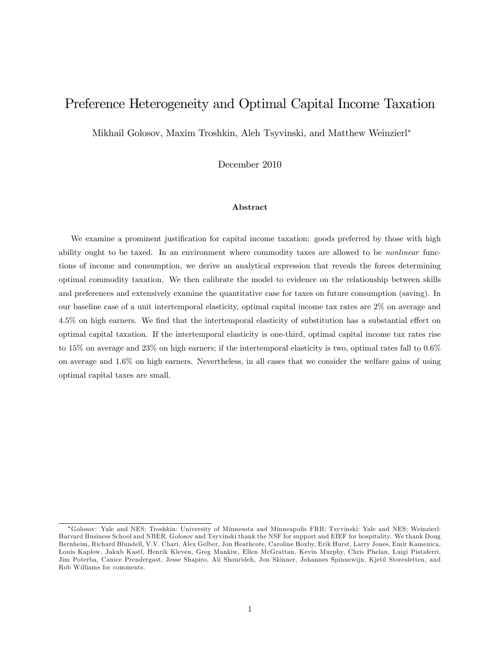## Preference Heterogeneity and Optimal Capital Income Taxation

Mikhail Golosov, Maxim Troshkin, Aleh Tsyvinski, and Matthew Weinzierl

December 2010

#### Abstract

We examine a prominent justification for capital income taxation: goods preferred by those with high ability ought to be taxed. In an environment where commodity taxes are allowed to be *nonlinear* functions of income and consumption, we derive an analytical expression that reveals the forces determining optimal commodity taxation. We then calibrate the model to evidence on the relationship between skills and preferences and extensively examine the quantitative case for taxes on future consumption (saving). In our baseline case of a unit intertemporal elasticity, optimal capital income tax rates are 2% on average and 4.5% on high earners. We find that the intertemporal elasticity of substitution has a substantial effect on optimal capital taxation. If the intertemporal elasticity is one-third, optimal capital income tax rates rise to 15% on average and 23% on high earners; if the intertemporal elasticity is two, optimal rates fall to 0.6% on average and 1.6% on high earners. Nevertheless, in all cases that we consider the welfare gains of using optimal capital taxes are small.

Golosov: Yale and NES; Troshkin: University of Minnesota and Minneapolis FRB; Tsyvinski: Yale and NES; Weinzierl: Harvard Business School and NBER. Golosov and Tsyvinski thank the NSF for support and EIEF for hospitality. We thank Doug Bernheim, Richard Blundell, V.V. Chari, Alex Gelber, Jon Heathcote, Caroline Hoxby, Erik Hurst, Larry Jones, Emir Kamenica, Louis Kaplow, Jakub Kastl, Henrik Kleven, Greg Mankiw, Ellen McGrattan, Kevin Murphy, Chris Phelan, Luigi Pistaferri, Jim Poterba, Canice Prendergast, Jesse Shapiro, Ali Shourideh, Jon Skinner, Johannes Spinnewijn, Kjetil Storesletten, and Rob Williams for comments.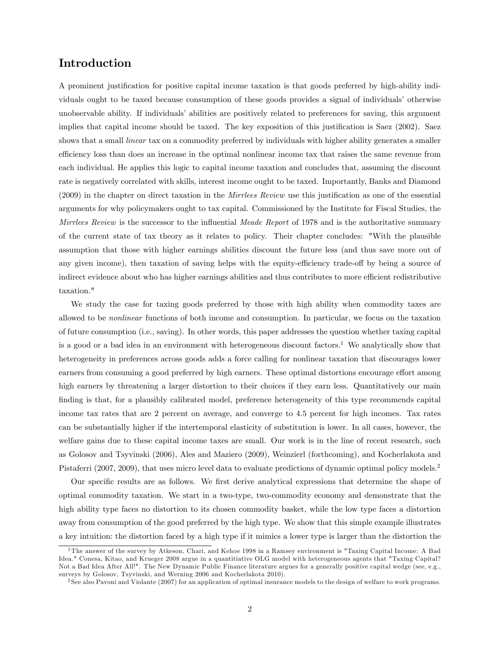## Introduction

A prominent justiÖcation for positive capital income taxation is that goods preferred by high-ability individuals ought to be taxed because consumption of these goods provides a signal of individuals' otherwise unobservable ability. If individuals' abilities are positively related to preferences for saving, this argument implies that capital income should be taxed. The key exposition of this justification is Saez (2002). Saez shows that a small *linear* tax on a commodity preferred by individuals with higher ability generates a smaller efficiency loss than does an increase in the optimal nonlinear income tax that raises the same revenue from each individual. He applies this logic to capital income taxation and concludes that, assuming the discount rate is negatively correlated with skills, interest income ought to be taxed. Importantly, Banks and Diamond  $(2009)$  in the chapter on direct taxation in the *Mirrlees Review* use this justification as one of the essential arguments for why policymakers ought to tax capital. Commissioned by the Institute for Fiscal Studies, the Mirrlees Review is the successor to the influential Meade Report of 1978 and is the authoritative summary of the current state of tax theory as it relates to policy. Their chapter concludes: "With the plausible assumption that those with higher earnings abilities discount the future less (and thus save more out of any given income), then taxation of saving helps with the equity-efficiency trade-off by being a source of indirect evidence about who has higher earnings abilities and thus contributes to more efficient redistributive taxation."

We study the case for taxing goods preferred by those with high ability when commodity taxes are allowed to be nonlinear functions of both income and consumption. In particular, we focus on the taxation of future consumption (i.e., saving). In other words, this paper addresses the question whether taxing capital is a good or a bad idea in an environment with heterogeneous discount factors.<sup>1</sup> We analytically show that heterogeneity in preferences across goods adds a force calling for nonlinear taxation that discourages lower earners from consuming a good preferred by high earners. These optimal distortions encourage effort among high earners by threatening a larger distortion to their choices if they earn less. Quantitatively our main finding is that, for a plausibly calibrated model, preference heterogeneity of this type recommends capital income tax rates that are 2 percent on average, and converge to 4.5 percent for high incomes. Tax rates can be substantially higher if the intertemporal elasticity of substitution is lower. In all cases, however, the welfare gains due to these capital income taxes are small. Our work is in the line of recent research, such as Golosov and Tsyvinski (2006), Ales and Maziero (2009), Weinzierl (forthcoming), and Kocherlakota and Pistaferri (2007, 2009), that uses micro level data to evaluate predictions of dynamic optimal policy models.<sup>2</sup>

Our specific results are as follows. We first derive analytical expressions that determine the shape of optimal commodity taxation. We start in a two-type, two-commodity economy and demonstrate that the high ability type faces no distortion to its chosen commodity basket, while the low type faces a distortion away from consumption of the good preferred by the high type. We show that this simple example illustrates a key intuition: the distortion faced by a high type if it mimics a lower type is larger than the distortion the

<sup>&</sup>lt;sup>1</sup>The answer of the survey by Atkeson, Chari, and Kehoe 1998 in a Ramsey environment is "Taxing Capital Income: A Bad Idea." Conesa, Kitao, and Krueger 2008 argue in a quantitiative OLG model with heterogeneous agents that "Taxing Capital? Not a Bad Idea After All!". The New Dynamic Public Finance literature argues for a generally positive capital wedge (see, e.g., surveys by Golosov, Tsyvinski, and Werning 2006 and Kocherlakota 2010).

<sup>&</sup>lt;sup>2</sup> See also Pavoni and Violante (2007) for an application of optimal insurance models to the design of welfare to work programs.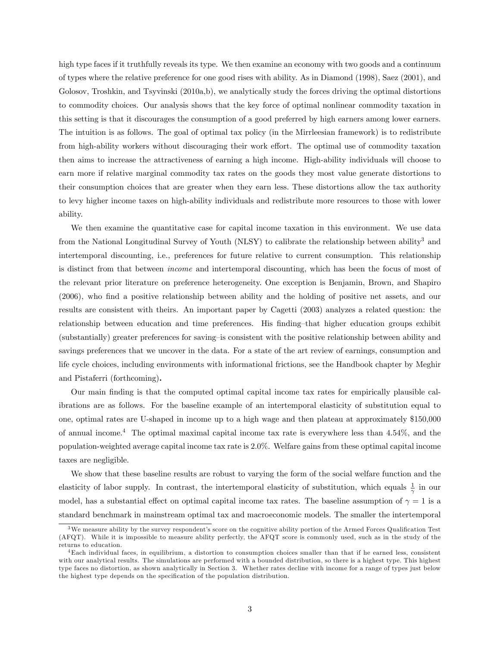high type faces if it truthfully reveals its type. We then examine an economy with two goods and a continuum of types where the relative preference for one good rises with ability. As in Diamond (1998), Saez (2001), and Golosov, Troshkin, and Tsyvinski (2010a,b), we analytically study the forces driving the optimal distortions to commodity choices. Our analysis shows that the key force of optimal nonlinear commodity taxation in this setting is that it discourages the consumption of a good preferred by high earners among lower earners. The intuition is as follows. The goal of optimal tax policy (in the Mirrleesian framework) is to redistribute from high-ability workers without discouraging their work effort. The optimal use of commodity taxation then aims to increase the attractiveness of earning a high income. High-ability individuals will choose to earn more if relative marginal commodity tax rates on the goods they most value generate distortions to their consumption choices that are greater when they earn less. These distortions allow the tax authority to levy higher income taxes on high-ability individuals and redistribute more resources to those with lower ability.

We then examine the quantitative case for capital income taxation in this environment. We use data from the National Longitudinal Survey of Youth (NLSY) to calibrate the relationship between ability<sup>3</sup> and intertemporal discounting, i.e., preferences for future relative to current consumption. This relationship is distinct from that between income and intertemporal discounting, which has been the focus of most of the relevant prior literature on preference heterogeneity. One exception is Benjamin, Brown, and Shapiro (2006), who Önd a positive relationship between ability and the holding of positive net assets, and our results are consistent with theirs. An important paper by Cagetti (2003) analyzes a related question: the relationship between education and time preferences. His finding-that higher education groups exhibit (substantially) greater preferences for saving–is consistent with the positive relationship between ability and savings preferences that we uncover in the data. For a state of the art review of earnings, consumption and life cycle choices, including environments with informational frictions, see the Handbook chapter by Meghir and Pistaferri (forthcoming).

Our main Önding is that the computed optimal capital income tax rates for empirically plausible calibrations are as follows. For the baseline example of an intertemporal elasticity of substitution equal to one, optimal rates are U-shaped in income up to a high wage and then plateau at approximately \$150,000 of annual income.<sup>4</sup> The optimal maximal capital income tax rate is everywhere less than 4.54%, and the population-weighted average capital income tax rate is 2.0%. Welfare gains from these optimal capital income taxes are negligible.

We show that these baseline results are robust to varying the form of the social welfare function and the elasticity of labor supply. In contrast, the intertemporal elasticity of substitution, which equals  $\frac{1}{\gamma}$  in our model, has a substantial effect on optimal capital income tax rates. The baseline assumption of  $\gamma = 1$  is a standard benchmark in mainstream optimal tax and macroeconomic models. The smaller the intertemporal

 $3$ We measure ability by the survey respondent's score on the cognitive ability portion of the Armed Forces Qualification Test (AFQT). While it is impossible to measure ability perfectly, the AFQT score is commonly used, such as in the study of the returns to education.

<sup>4</sup>Each individual faces, in equilibrium, a distortion to consumption choices smaller than that if he earned less, consistent with our analytical results. The simulations are performed with a bounded distribution, so there is a highest type. This highest type faces no distortion, as shown analytically in Section 3. Whether rates decline with income for a range of types just below the highest type depends on the specification of the population distribution.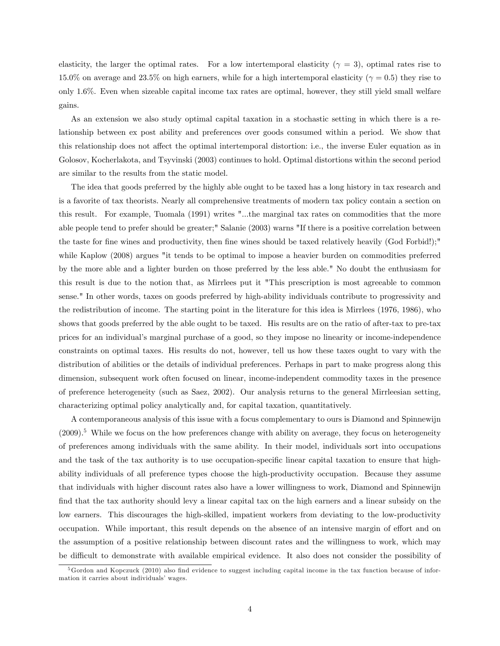elasticity, the larger the optimal rates. For a low intertemporal elasticity ( $\gamma = 3$ ), optimal rates rise to 15.0% on average and 23.5% on high earners, while for a high intertemporal elasticity ( $\gamma = 0.5$ ) they rise to only 1.6%. Even when sizeable capital income tax rates are optimal, however, they still yield small welfare gains.

As an extension we also study optimal capital taxation in a stochastic setting in which there is a relationship between ex post ability and preferences over goods consumed within a period. We show that this relationship does not affect the optimal intertemporal distortion: i.e., the inverse Euler equation as in Golosov, Kocherlakota, and Tsyvinski (2003) continues to hold. Optimal distortions within the second period are similar to the results from the static model.

The idea that goods preferred by the highly able ought to be taxed has a long history in tax research and is a favorite of tax theorists. Nearly all comprehensive treatments of modern tax policy contain a section on this result. For example, Tuomala (1991) writes "...the marginal tax rates on commodities that the more able people tend to prefer should be greater;" Salanie (2003) warns "If there is a positive correlation between the taste for fine wines and productivity, then fine wines should be taxed relatively heavily (God Forbid!);" while Kaplow (2008) argues "it tends to be optimal to impose a heavier burden on commodities preferred by the more able and a lighter burden on those preferred by the less able." No doubt the enthusiasm for this result is due to the notion that, as Mirrlees put it "This prescription is most agreeable to common sense." In other words, taxes on goods preferred by high-ability individuals contribute to progressivity and the redistribution of income. The starting point in the literature for this idea is Mirrlees (1976, 1986), who shows that goods preferred by the able ought to be taxed. His results are on the ratio of after-tax to pre-tax prices for an individualís marginal purchase of a good, so they impose no linearity or income-independence constraints on optimal taxes. His results do not, however, tell us how these taxes ought to vary with the distribution of abilities or the details of individual preferences. Perhaps in part to make progress along this dimension, subsequent work often focused on linear, income-independent commodity taxes in the presence of preference heterogeneity (such as Saez, 2002). Our analysis returns to the general Mirrleesian setting, characterizing optimal policy analytically and, for capital taxation, quantitatively.

A contemporaneous analysis of this issue with a focus complementary to ours is Diamond and Spinnewijn  $(2009).<sup>5</sup>$  While we focus on the how preferences change with ability on average, they focus on heterogeneity of preferences among individuals with the same ability. In their model, individuals sort into occupations and the task of the tax authority is to use occupation-specific linear capital taxation to ensure that highability individuals of all preference types choose the high-productivity occupation. Because they assume that individuals with higher discount rates also have a lower willingness to work, Diamond and Spinnewijn find that the tax authority should levy a linear capital tax on the high earners and a linear subsidy on the low earners. This discourages the high-skilled, impatient workers from deviating to the low-productivity occupation. While important, this result depends on the absence of an intensive margin of effort and on the assumption of a positive relationship between discount rates and the willingness to work, which may be difficult to demonstrate with available empirical evidence. It also does not consider the possibility of

 $5Gordon$  and Kopczuck (2010) also find evidence to suggest including capital income in the tax function because of information it carries about individuals' wages.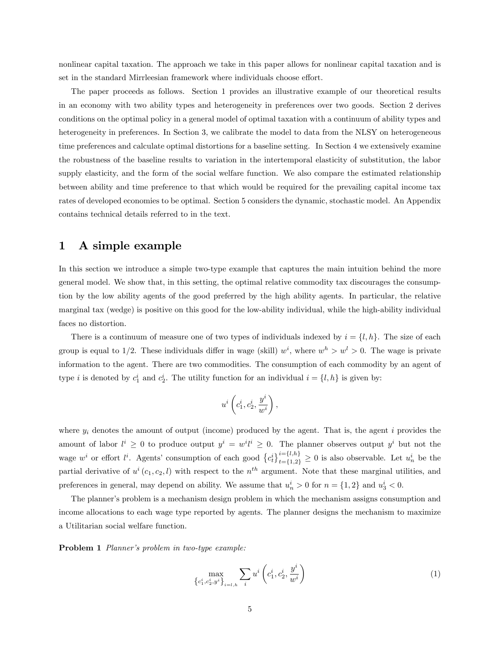nonlinear capital taxation. The approach we take in this paper allows for nonlinear capital taxation and is set in the standard Mirrleesian framework where individuals choose effort.

The paper proceeds as follows. Section 1 provides an illustrative example of our theoretical results in an economy with two ability types and heterogeneity in preferences over two goods. Section 2 derives conditions on the optimal policy in a general model of optimal taxation with a continuum of ability types and heterogeneity in preferences. In Section 3, we calibrate the model to data from the NLSY on heterogeneous time preferences and calculate optimal distortions for a baseline setting. In Section 4 we extensively examine the robustness of the baseline results to variation in the intertemporal elasticity of substitution, the labor supply elasticity, and the form of the social welfare function. We also compare the estimated relationship between ability and time preference to that which would be required for the prevailing capital income tax rates of developed economies to be optimal. Section 5 considers the dynamic, stochastic model. An Appendix contains technical details referred to in the text.

## 1 A simple example

In this section we introduce a simple two-type example that captures the main intuition behind the more general model. We show that, in this setting, the optimal relative commodity tax discourages the consumption by the low ability agents of the good preferred by the high ability agents. In particular, the relative marginal tax (wedge) is positive on this good for the low-ability individual, while the high-ability individual faces no distortion.

There is a continuum of measure one of two types of individuals indexed by  $i = \{l, h\}$ . The size of each group is equal to 1/2. These individuals differ in wage (skill)  $w^i$ , where  $w^h > w^l > 0$ . The wage is private information to the agent. There are two commodities. The consumption of each commodity by an agent of type *i* is denoted by  $c_1^i$  and  $c_2^i$ . The utility function for an individual  $i = \{l, h\}$  is given by:

$$
u^i \left(c_1^i, c_2^i, \frac{y^i}{w^i}\right),
$$

where  $y_i$  denotes the amount of output (income) produced by the agent. That is, the agent i provides the amount of labor  $l^i \geq 0$  to produce output  $y^i = w^i l^i \geq 0$ . The planner observes output  $y^i$  but not the wage  $w^i$  or effort  $l^i$ . Agents' consumption of each good  $\{c_t^i\}_{t=1,2}^{i=[l,h]}$  $\sum_{t=\{1,2\}}^{i=\{t,h\}} \geq 0$  is also observable. Let  $u_n^i$  be the partial derivative of  $u^i(c_1, c_2, l)$  with respect to the  $n^{th}$  argument. Note that these marginal utilities, and preferences in general, may depend on ability. We assume that  $u_n^i > 0$  for  $n = \{1, 2\}$  and  $u_3^i < 0$ .

The planner's problem is a mechanism design problem in which the mechanism assigns consumption and income allocations to each wage type reported by agents. The planner designs the mechanism to maximize a Utilitarian social welfare function.

Problem 1 Planner's problem in two-type example:

$$
\max_{\left\{c_1^i, c_2^i, y^i\right\}_{i=l, h}} \sum_i u^i \left(c_1^i, c_2^i, \frac{y^i}{w^i}\right) \tag{1}
$$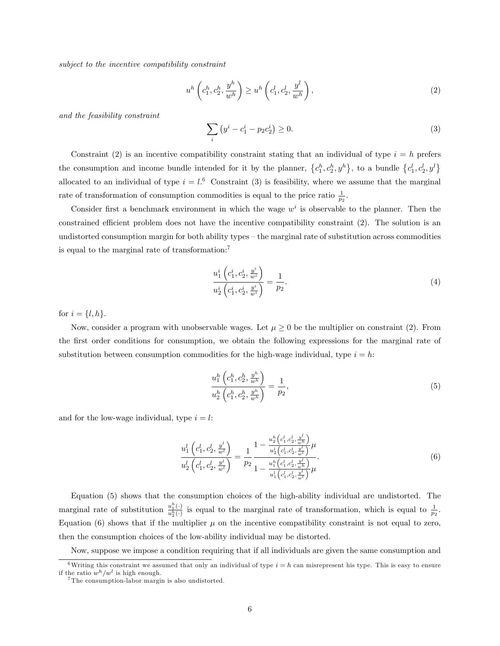subject to the incentive compatibility constraint

$$
u^{h}\left(c_{1}^{h}, c_{2}^{h}, \frac{y^{h}}{w^{h}}\right) \geq u^{h}\left(c_{1}^{l}, c_{2}^{l}, \frac{y^{l}}{w^{h}}\right),\tag{2}
$$

and the feasibility constraint

$$
\sum_{i} \left( y^{i} - c_{1}^{i} - p_{2} c_{2}^{i} \right) \ge 0.
$$
\n(3)

Constraint (2) is an incentive compatibility constraint stating that an individual of type  $i = h$  prefers the consumption and income bundle intended for it by the planner,  $\{c_1^h, c_2^h, y^h\}$ , to a bundle  $\{c_1^l, c_2^l, y^l\}$ allocated to an individual of type  $i = l$ .<sup>6</sup> Constraint (3) is feasibility, where we assume that the marginal rate of transformation of consumption commodities is equal to the price ratio  $\frac{1}{p_2}$ .

Consider first a benchmark environment in which the wage  $w<sup>i</sup>$  is observable to the planner. Then the constrained efficient problem does not have the incentive compatibility constraint  $(2)$ . The solution is an undistorted consumption margin for both ability types – the marginal rate of substitution across commodities is equal to the marginal rate of transformation:<sup>7</sup>

$$
\frac{u_1^i\left(c_1^i, c_2^i, \frac{y^i}{w^i}\right)}{u_2^i\left(c_1^i, c_2^i, \frac{y^i}{w^i}\right)} = \frac{1}{p_2}.\tag{4}
$$

for  $i = \{l, h\}.$ 

Now, consider a program with unobservable wages. Let  $\mu \geq 0$  be the multiplier on constraint (2). From the first order conditions for consumption, we obtain the following expressions for the marginal rate of substitution between consumption commodities for the high-wage individual, type  $i = h$ :

$$
\frac{u_1^h\left(c_1^h, c_2^h, \frac{y^h}{w^h}\right)}{u_2^h\left(c_1^h, c_2^h, \frac{y^h}{w^h}\right)} = \frac{1}{p_2},\tag{5}
$$

and for the low-wage individual, type  $i = l$ :

$$
\frac{u_1^l\left(c_1^l, c_2^l, \frac{y^l}{w^l}\right)}{u_2^l\left(c_1^l, c_2^l, \frac{y^l}{w^l}\right)} = \frac{1}{p_2} \frac{1 - \frac{u_2^h\left(c_1^l, c_2^l, \frac{y^l}{w^h}\right)}{u_2^l\left(c_1^l, c_2^l, \frac{y^l}{w^l}\right)} \mu}{1 - \frac{u_1^h\left(c_1^l, c_2^l, \frac{y^l}{w^h}\right)}{u_1^l\left(c_1^l, c_2^l, \frac{y^l}{w^l}\right)} \mu}.
$$
\n(6)

Equation (5) shows that the consumption choices of the high-ability individual are undistorted. The marginal rate of substitution  $\frac{u_1^h(\cdot)}{u_2^h(\cdot)}$  is equal to the marginal rate of transformation, which is equal to  $\frac{1}{p_2}$ . Equation (6) shows that if the multiplier  $\mu$  on the incentive compatibility constraint is not equal to zero, then the consumption choices of the low-ability individual may be distorted.

Now, suppose we impose a condition requiring that if all individuals are given the same consumption and

<sup>&</sup>lt;sup>6</sup>Writing this constraint we assumed that only an individual of type  $i = h$  can misrepresent his type. This is easy to ensure if the ratio  $w^h/w^l$  is high enough.

<sup>7</sup> The consumption-labor margin is also undistorted.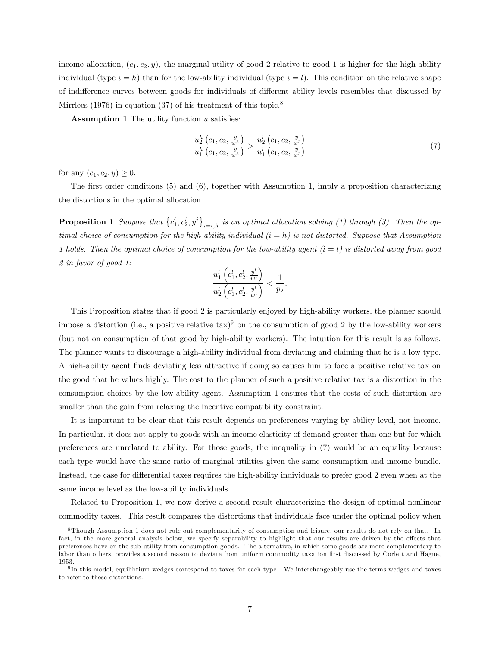income allocation,  $(c_1, c_2, y)$ , the marginal utility of good 2 relative to good 1 is higher for the high-ability individual (type  $i = h$ ) than for the low-ability individual (type  $i = l$ ). This condition on the relative shape of indifference curves between goods for individuals of different ability levels resembles that discussed by Mirrlees (1976) in equation (37) of his treatment of this topic.<sup>8</sup>

**Assumption 1** The utility function  $u$  satisfies:

$$
\frac{u_2^h\left(c_1, c_2, \frac{y}{w^h}\right)}{u_1^h\left(c_1, c_2, \frac{y}{w^h}\right)} > \frac{u_2^l\left(c_1, c_2, \frac{y}{w^l}\right)}{u_1^l\left(c_1, c_2, \frac{y}{w^l}\right)}
$$
\n<sup>(7)</sup>

for any  $(c_1, c_2, y) \ge 0$ .

The first order conditions  $(5)$  and  $(6)$ , together with Assumption 1, imply a proposition characterizing the distortions in the optimal allocation.

**Proposition 1** Suppose that  $\{c_1^i, c_2^i, y^i\}_{i=l,h}$  is an optimal allocation solving (1) through (3). Then the optimal choice of consumption for the high-ability individual  $(i = h)$  is not distorted. Suppose that Assumption 1 holds. Then the optimal choice of consumption for the low-ability agent  $(i = l)$  is distorted away from good 2 in favor of good 1:

$$
\frac{u^l_1\left(c^l_1,c^l_2,\frac{y^l}{w^l}\right)}{u^l_2\left(c^l_1,c^l_2,\frac{y^l}{w^l}\right)}<\frac{1}{p_2}.
$$

This Proposition states that if good 2 is particularly enjoyed by high-ability workers, the planner should impose a distortion (i.e., a positive relative  $\text{tax}$ )<sup>9</sup> on the consumption of good 2 by the low-ability workers (but not on consumption of that good by high-ability workers). The intuition for this result is as follows. The planner wants to discourage a high-ability individual from deviating and claiming that he is a low type. A high-ability agent Önds deviating less attractive if doing so causes him to face a positive relative tax on the good that he values highly. The cost to the planner of such a positive relative tax is a distortion in the consumption choices by the low-ability agent. Assumption 1 ensures that the costs of such distortion are smaller than the gain from relaxing the incentive compatibility constraint.

It is important to be clear that this result depends on preferences varying by ability level, not income. In particular, it does not apply to goods with an income elasticity of demand greater than one but for which preferences are unrelated to ability. For those goods, the inequality in (7) would be an equality because each type would have the same ratio of marginal utilities given the same consumption and income bundle. Instead, the case for differential taxes requires the high-ability individuals to prefer good 2 even when at the same income level as the low-ability individuals.

Related to Proposition 1, we now derive a second result characterizing the design of optimal nonlinear commodity taxes. This result compares the distortions that individuals face under the optimal policy when

 $8$ Though Assumption 1 does not rule out complementarity of consumption and leisure, our results do not rely on that. In fact, in the more general analysis below, we specify separability to highlight that our results are driven by the effects that preferences have on the sub-utility from consumption goods. The alternative, in which some goods are more complementary to labor than others, provides a second reason to deviate from uniform commodity taxation first discussed by Corlett and Hague, 1953.

<sup>&</sup>lt;sup>9</sup>In this model, equilibrium wedges correspond to taxes for each type. We interchangeably use the terms wedges and taxes to refer to these distortions.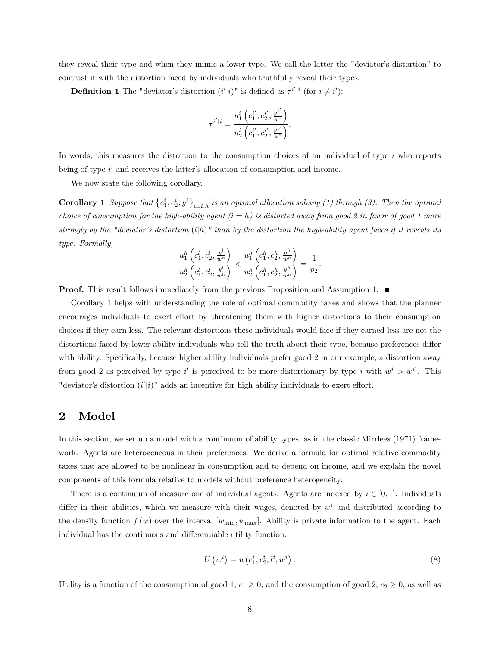they reveal their type and when they mimic a lower type. We call the latter the "deviatorís distortion" to contrast it with the distortion faced by individuals who truthfully reveal their types.

**Definition 1** The "deviator's distortion  $(i'|i)$ " is defined as  $\tau^{i'|i}$  (for  $i \neq i'$ ):

$$
\tau^{i'|i}=\frac{u^i_1\left(c^{i'}_1,c^{i'}_2,\frac{y^{i'}}{w^i}\right)}{u^i_2\left(c^{i'}_1,c^{i'}_2,\frac{y^{i'}}{w^i}\right)}.
$$

In words, this measures the distortion to the consumption choices of an individual of type  $i$  who reports being of type  $i'$  and receives the latter's allocation of consumption and income.

We now state the following corollary.

**Corollary 1** Suppose that  $\{c_1^i, c_2^i, y^i\}_{i=l,h}$  is an optimal allocation solving (1) through (3). Then the optimal choice of consumption for the high-ability agent  $(i = h)$  is distorted away from good 2 in favor of good 1 more strongly by the "deviator's distortion  $(l|h)$ " than by the distortion the high-ability agent faces if it reveals its type. Formally,

$$
\frac{u_{1}^{h}\left(c_{1}^{l}, c_{2}^{l}, \frac{y^{l}}{w^{h}}\right)}{u_{2}^{h}\left(c_{1}^{l}, c_{2}^{l}, \frac{y^{l}}{w^{h}}\right)} < \frac{u_{1}^{h}\left(c_{1}^{h}, c_{2}^{h}, \frac{y^{h}}{w^{h}}\right)}{u_{2}^{h}\left(c_{1}^{h}, c_{2}^{h}, \frac{y^{h}}{w^{h}}\right)} = \frac{1}{p_{2}}.
$$

**Proof.** This result follows immediately from the previous Proposition and Assumption 1.

Corollary 1 helps with understanding the role of optimal commodity taxes and shows that the planner encourages individuals to exert effort by threatening them with higher distortions to their consumption choices if they earn less. The relevant distortions these individuals would face if they earned less are not the distortions faced by lower-ability individuals who tell the truth about their type, because preferences differ with ability. Specifically, because higher ability individuals prefer good 2 in our example, a distortion away from good 2 as perceived by type i' is perceived to be more distortionary by type i with  $w^i > w^{i'}$ . This "deviator's distortion  $(i'|i)$ " adds an incentive for high ability individuals to exert effort.

## 2 Model

In this section, we set up a model with a continuum of ability types, as in the classic Mirrlees (1971) framework. Agents are heterogeneous in their preferences. We derive a formula for optimal relative commodity taxes that are allowed to be nonlinear in consumption and to depend on income, and we explain the novel components of this formula relative to models without preference heterogeneity.

There is a continuum of measure one of individual agents. Agents are indexed by  $i \in [0, 1]$ . Individuals differ in their abilities, which we measure with their wages, denoted by  $w<sup>i</sup>$  and distributed according to the density function  $f(w)$  over the interval  $[w_{\min}, w_{\max}]$ . Ability is private information to the agent. Each individual has the continuous and differentiable utility function:

$$
U(v^{i}) = u(c_{1}^{i}, c_{2}^{i}, l^{i}, w^{i}).
$$
\n(8)

Utility is a function of the consumption of good 1,  $c_1 \geq 0$ , and the consumption of good 2,  $c_2 \geq 0$ , as well as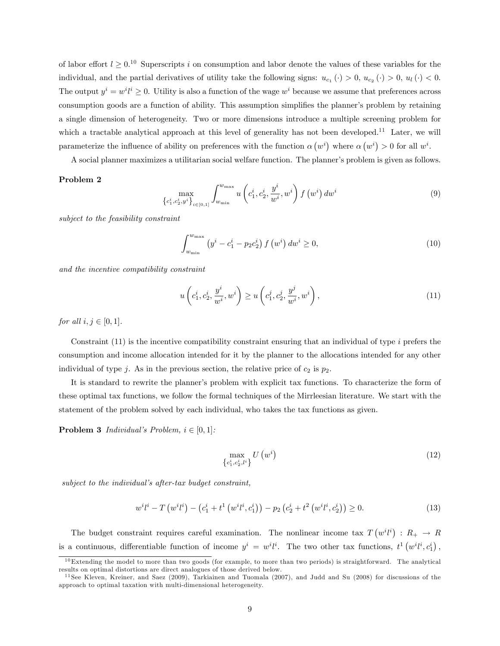of labor effort  $l \geq 0.10$  Superscripts i on consumption and labor denote the values of these variables for the individual, and the partial derivatives of utility take the following signs:  $u_{c_1}(\cdot) > 0$ ,  $u_{c_2}(\cdot) > 0$ ,  $u_l(\cdot) < 0$ . The output  $y^i = w^i l^i \geq 0$ . Utility is also a function of the wage  $w^i$  because we assume that preferences across consumption goods are a function of ability. This assumption simplifies the planner's problem by retaining a single dimension of heterogeneity. Two or more dimensions introduce a multiple screening problem for which a tractable analytical approach at this level of generality has not been developed.<sup>11</sup> Later, we will parameterize the influence of ability on preferences with the function  $\alpha (w^i)$  where  $\alpha (w^i) > 0$  for all  $w^i$ .

A social planner maximizes a utilitarian social welfare function. The planner's problem is given as follows.

#### Problem 2

$$
\max_{\left\{c_1^i, c_2^i, y^i\right\}_{i \in [0,1]}} \int_{w_{\min}}^{w_{\max}} u\left(c_1^i, c_2^i, \frac{y^i}{w^i}, w^i\right) f\left(w^i\right) dw^i \tag{9}
$$

subject to the feasibility constraint

$$
\int_{w_{\min}}^{w_{\max}} \left( y^i - c_1^i - p_2 c_2^i \right) f\left(w^i\right) dw^i \ge 0,
$$
\n(10)

and the incentive compatibility constraint

$$
u\left(c_1^i, c_2^i, \frac{y^i}{w^i}, w^i\right) \ge u\left(c_1^j, c_2^j, \frac{y^j}{w^i}, w^i\right),\tag{11}
$$

for all  $i, j \in [0, 1]$ .

Constraint (11) is the incentive compatibility constraint ensuring that an individual of type i prefers the consumption and income allocation intended for it by the planner to the allocations intended for any other individual of type j. As in the previous section, the relative price of  $c_2$  is  $p_2$ .

It is standard to rewrite the planner's problem with explicit tax functions. To characterize the form of these optimal tax functions, we follow the formal techniques of the Mirrleesian literature. We start with the statement of the problem solved by each individual, who takes the tax functions as given.

**Problem 3** Individual's Problem,  $i \in [0, 1]$ :

$$
\max_{\left\{c_1^i, c_2^i, l^i\right\}} U\left(w^i\right) \tag{12}
$$

 $subject\ to\ the\ individual's\ after\ tax\ budget\ constraint,$ 

$$
w^{i}l^{i} - T\left(w^{i}l^{i}\right) - \left(c_{1}^{i} + t^{1}\left(w^{i}l^{i}, c_{1}^{i}\right)\right) - p_{2}\left(c_{2}^{i} + t^{2}\left(w^{i}l^{i}, c_{2}^{i}\right)\right) \geq 0. \tag{13}
$$

The budget constraint requires careful examination. The nonlinear income tax  $T(w^{i}l^{i})$ :  $R_{+} \rightarrow R$ is a continuous, differentiable function of income  $y^i = w^i l^i$ . The two other tax functions,  $t^1 (w^i l^i, c_1^i)$ ,

 $10$ Extending the model to more than two goods (for example, to more than two periods) is straightforward. The analytical results on optimal distortions are direct analogues of those derived below.

<sup>&</sup>lt;sup>11</sup> See Kleven, Kreiner, and Saez (2009), Tarkiainen and Tuomala (2007), and Judd and Su (2008) for discussions of the approach to optimal taxation with multi-dimensional heterogeneity.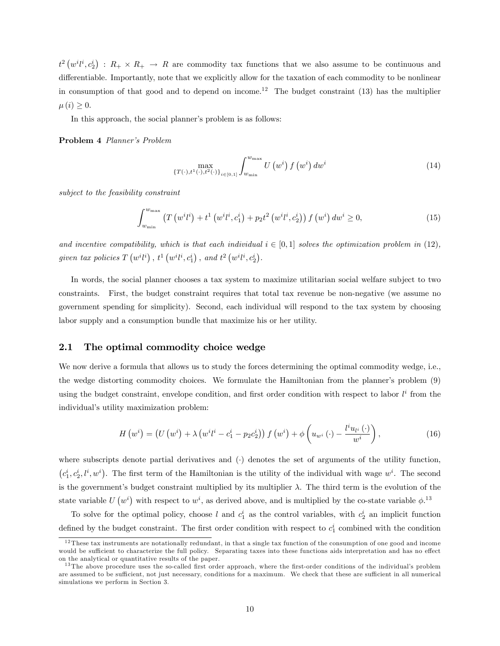$t^2(w^i t^i, c_2^i)$ :  $R_+ \times R_+ \to R$  are commodity tax functions that we also assume to be continuous and differentiable. Importantly, note that we explicitly allow for the taxation of each commodity to be nonlinear in consumption of that good and to depend on income.<sup>12</sup> The budget constraint  $(13)$  has the multiplier  $\mu(i) \geq 0.$ 

In this approach, the social planner's problem is as follows:

Problem 4 Planner's Problem

$$
\max_{\{T(\cdot), t^{1}(\cdot), t^{2}(\cdot)\}_{i \in [0,1]}} \int_{w_{\min}}^{w_{\max}} U\left(w^{i}\right) f\left(w^{i}\right) dw^{i}
$$
\n(14)

subject to the feasibility constraint

$$
\int_{w_{\min}}^{w_{\max}} \left( T\left(w^{i}l^{i}\right) + t^{1}\left(w^{i}l^{i}, c_{1}^{i}\right) + p_{2}t^{2}\left(w^{i}l^{i}, c_{2}^{i}\right) \right) f\left(w^{i}\right) dw^{i} \geq 0, \tag{15}
$$

and incentive compatibility, which is that each individual  $i \in [0, 1]$  solves the optimization problem in (12), given tax policies  $T(v^i l^i)$ ,  $t^1(w^i l^i, c_1^i)$ , and  $t^2(w^i l^i, c_2^i)$ .

In words, the social planner chooses a tax system to maximize utilitarian social welfare subject to two constraints. First, the budget constraint requires that total tax revenue be non-negative (we assume no government spending for simplicity). Second, each individual will respond to the tax system by choosing labor supply and a consumption bundle that maximize his or her utility.

#### 2.1 The optimal commodity choice wedge

We now derive a formula that allows us to study the forces determining the optimal commodity wedge, i.e., the wedge distorting commodity choices. We formulate the Hamiltonian from the planner's problem (9) using the budget constraint, envelope condition, and first order condition with respect to labor  $l^i$  from the individual's utility maximization problem:

$$
H\left(w^{i}\right) = \left(U\left(w^{i}\right) + \lambda\left(w^{i}l^{i} - c_{1}^{i} - p_{2}c_{2}^{i}\right)\right)f\left(w^{i}\right) + \phi\left(u_{w^{i}}\left(\cdot\right) - \frac{l^{i}u_{l^{i}}\left(\cdot\right)}{w^{i}}\right),\tag{16}
$$

where subscripts denote partial derivatives and  $\langle \cdot \rangle$  denotes the set of arguments of the utility function,  $(c_1^i, c_2^i, l^i, w^i)$ . The first term of the Hamiltonian is the utility of the individual with wage  $w^i$ . The second is the government's budget constraint multiplied by its multiplier  $\lambda$ . The third term is the evolution of the state variable  $U(w^i)$  with respect to  $w^i$ , as derived above, and is multiplied by the co-state variable  $\phi$ .<sup>13</sup>

To solve for the optimal policy, choose l and  $c_1^i$  as the control variables, with  $c_2^i$  an implicit function defined by the budget constraint. The first order condition with respect to  $c_1^i$  combined with the condition

 $12$  These tax instruments are notationally redundant, in that a single tax function of the consumption of one good and income would be sufficient to characterize the full policy. Separating taxes into these functions aids interpretation and has no effect on the analytical or quantitative results of the paper.

 $13$  The above procedure uses the so-called first order approach, where the first-order conditions of the individual's problem are assumed to be sufficient, not just necessary, conditions for a maximum. We check that these are sufficient in all numerical simulations we perform in Section 3.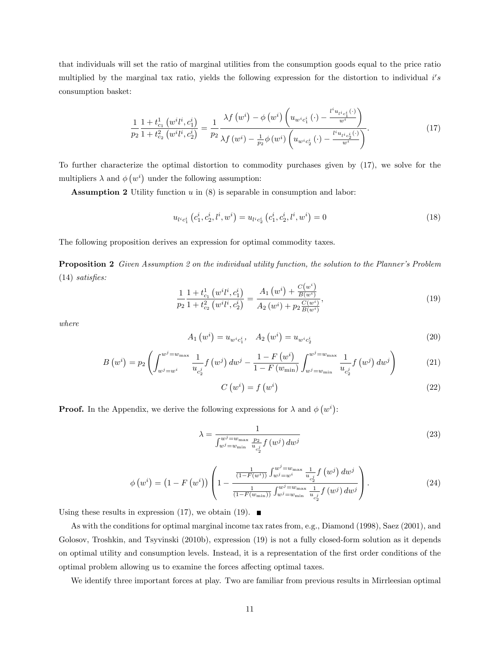that individuals will set the ratio of marginal utilities from the consumption goods equal to the price ratio multiplied by the marginal tax ratio, yields the following expression for the distortion to individual i's consumption basket:

$$
\frac{1}{p_2} \frac{1 + t_{c_1}^1 (w^i l^i, c_1^i)}{1 + t_{c_2}^2 (w^i l^i, c_2^i)} = \frac{1}{p_2} \frac{\lambda f(w^i) - \phi(w^i) \left( u_{w^i c_1^i}(\cdot) - \frac{l^i u_{l^i c_1^i}(\cdot)}{w^i} \right)}{\lambda f(w^i) - \frac{1}{p_2} \phi(w^i) \left( u_{w^i c_2^i}(\cdot) - \frac{l^i u_{l^i c_2^i}(\cdot)}{w^i} \right)}.
$$
\n(17)

To further characterize the optimal distortion to commodity purchases given by (17), we solve for the multipliers  $\lambda$  and  $\phi(w^i)$  under the following assumption:

**Assumption 2** Utility function  $u$  in  $(8)$  is separable in consumption and labor:

$$
u_{l^{i}c_{1}^{i}}\left(c_{1}^{i},c_{2}^{i},l^{i},w^{i}\right) = u_{l^{i}c_{2}^{i}}\left(c_{1}^{i},c_{2}^{i},l^{i},w^{i}\right) = 0
$$
\n(18)

The following proposition derives an expression for optimal commodity taxes.

**Proposition 2** Given Assumption 2 on the individual utility function, the solution to the Planner's Problem  $(14)$  satisfies:

$$
\frac{1}{p_2} \frac{1 + t_{c_1}^1 (w^i t^i, c_1^i)}{1 + t_{c_2}^2 (w^i t^i, c_2^i)} = \frac{A_1 (w^i) + \frac{C(w^i)}{B(w^i)}}{A_2 (w^i) + p_2 \frac{C(w^i)}{B(w^i)}},\tag{19}
$$

where

$$
A_1\left(w^i\right) = u_{w^ic_1^i}, \quad A_2\left(w^i\right) = u_{w^ic_2^i} \tag{20}
$$

$$
B\left(w^{i}\right) = p_{2}\left(\int_{w^{j}=w^{i}}^{w^{j}=w_{\max}} \frac{1}{u_{c_{2}^{j}}} f\left(w^{j}\right) dw^{j} - \frac{1-F\left(w^{i}\right)}{1-F\left(w_{\min}\right)} \int_{w^{j}=w_{\min}}^{w^{j}=w_{\max}} \frac{1}{u_{c_{2}^{j}}} f\left(w^{j}\right) dw^{j}\right) \tag{21}
$$

$$
C\left(w^{i}\right) = f\left(w^{i}\right) \tag{22}
$$

**Proof.** In the Appendix, we derive the following expressions for  $\lambda$  and  $\phi(w^i)$ :

$$
\lambda = \frac{1}{\int_{w^j = w_{\min}}^{w^j = w_{\max}} \frac{p_2}{u_{c_2^j}} f(w^j) \, dw^j}
$$
\n(23)

$$
\phi\left(w^{i}\right) = \left(1 - F\left(w^{i}\right)\right) \left(1 - \frac{\frac{1}{(1 - F(w^{i}))}\int_{w^{j} = w^{i}}^{w^{j} = w_{\max}} \frac{1}{u_{c_{2}^{j}}} f\left(w^{j}\right) dw^{j}}{\frac{1}{(1 - F(w_{\min}))}\int_{w^{j} = w_{\min}}^{w^{j} = w_{\max}} \frac{1}{u_{c_{2}^{j}}} f\left(w^{j}\right) dw^{j}}\right).
$$
\n(24)

Using these results in expression (17), we obtain (19).  $\blacksquare$ 

As with the conditions for optimal marginal income tax rates from, e.g., Diamond (1998), Saez (2001), and Golosov, Troshkin, and Tsyvinski (2010b), expression (19) is not a fully closed-form solution as it depends on optimal utility and consumption levels. Instead, it is a representation of the Örst order conditions of the optimal problem allowing us to examine the forces affecting optimal taxes.

We identify three important forces at play. Two are familiar from previous results in Mirrleesian optimal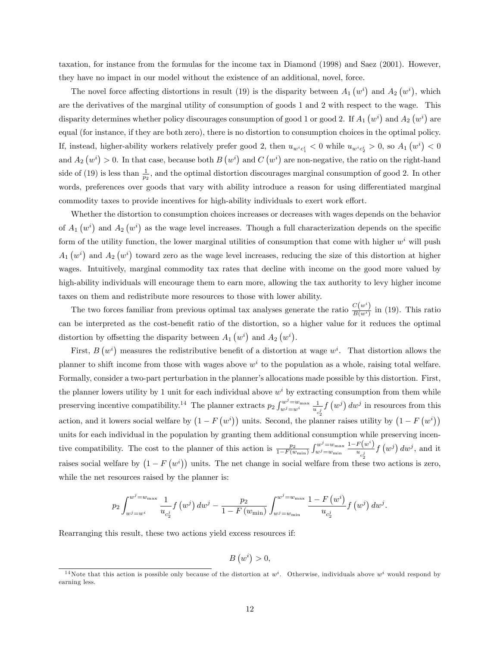taxation, for instance from the formulas for the income tax in Diamond (1998) and Saez (2001). However, they have no impact in our model without the existence of an additional, novel, force.

The novel force affecting distortions in result (19) is the disparity between  $A_1(w^i)$  and  $A_2(w^i)$ , which are the derivatives of the marginal utility of consumption of goods 1 and 2 with respect to the wage. This disparity determines whether policy discourages consumption of good 1 or good 2. If  $A_1(w^i)$  and  $A_2(w^i)$  are equal (for instance, if they are both zero), there is no distortion to consumption choices in the optimal policy. If, instead, higher-ability workers relatively prefer good 2, then  $u_{w^ic_1^i} < 0$  while  $u_{w^ic_2^i} > 0$ , so  $A_1(w^i) < 0$ and  $A_2(w^i) > 0$ . In that case, because both  $B(w^i)$  and  $C(w^i)$  are non-negative, the ratio on the right-hand side of (19) is less than  $\frac{1}{p_2}$ , and the optimal distortion discourages marginal consumption of good 2. In other words, preferences over goods that vary with ability introduce a reason for using differentiated marginal commodity taxes to provide incentives for high-ability individuals to exert work effort.

Whether the distortion to consumption choices increases or decreases with wages depends on the behavior of  $A_1(w^i)$  and  $A_2(w^i)$  as the wage level increases. Though a full characterization depends on the specific form of the utility function, the lower marginal utilities of consumption that come with higher  $w^i$  will push  $A_1(w^i)$  and  $A_2(w^i)$  toward zero as the wage level increases, reducing the size of this distortion at higher wages. Intuitively, marginal commodity tax rates that decline with income on the good more valued by high-ability individuals will encourage them to earn more, allowing the tax authority to levy higher income taxes on them and redistribute more resources to those with lower ability.

The two forces familiar from previous optimal tax analyses generate the ratio  $\frac{C(w^i)}{B(w^i)}$  $\frac{\partial(u)}{\partial(u_i)}$  in (19). This ratio can be interpreted as the cost-benefit ratio of the distortion, so a higher value for it reduces the optimal distortion by offsetting the disparity between  $A_1(w^i)$  and  $A_2(w^i)$ .

First,  $B(v^i)$  measures the redistributive benefit of a distortion at wage  $w^i$ . That distortion allows the planner to shift income from those with wages above  $w<sup>i</sup>$  to the population as a whole, raising total welfare. Formally, consider a two-part perturbation in the planner's allocations made possible by this distortion. First, the planner lowers utility by 1 unit for each individual above  $w^i$  by extracting consumption from them while preserving incentive compatibility.<sup>14</sup> The planner extracts  $p_2 \int_{w}^{w^j = w_{\text{max}}}$  $w^j = w_{\text{max}} \frac{1}{u_{c_2^j}}$  $f(w^j) dw^j$  in resources from this action, and it lowers social welfare by  $(1 - F(w^i))$  units. Second, the planner raises utility by  $(1 - F(w^i))$ units for each individual in the population by granting them additional consumption while preserving incentive compatibility. The cost to the planner of this action is  $\frac{p_2}{1-F(w_{\min})} \int_{w^j=w_{\min}}^{w^j=w_{\max}}$  $w^j = w_{\min}$  $1-F(w^i)$  $u_{c_2^j}$  $f(w^j) dw^j$ , and it raises social welfare by  $(1 - F(w^i))$  units. The net change in social welfare from these two actions is zero, while the net resources raised by the planner is:

$$
p_2 \int_{w^j = w^i}^{w^j = w_{\text{max}}} \frac{1}{u_{c_2^j}} f(w^j) dw^j - \frac{p_2}{1 - F(w_{\text{min}})} \int_{w^j = w_{\text{min}}}^{w^j = w_{\text{max}}} \frac{1 - F(w^i)}{u_{c_2^j}} f(w^j) dw^j.
$$

Rearranging this result, these two actions yield excess resources if:

$$
B\left( w^{i}\right) >0,
$$

<sup>&</sup>lt;sup>14</sup> Note that this action is possible only because of the distortion at  $w^i$ . Otherwise, individuals above  $w^i$  would respond by earning less.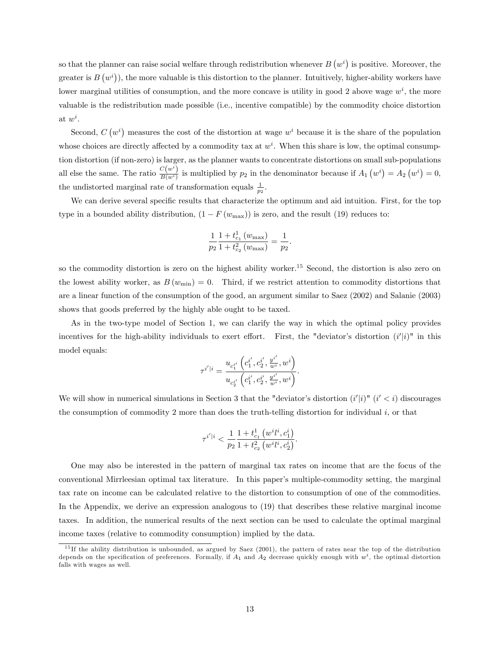so that the planner can raise social welfare through redistribution whenever  $B(v^i)$  is positive. Moreover, the greater is  $B(v^i)$ , the more valuable is this distortion to the planner. Intuitively, higher-ability workers have lower marginal utilities of consumption, and the more concave is utility in good 2 above wage  $w^i$ , the more valuable is the redistribution made possible (i.e., incentive compatible) by the commodity choice distortion at  $w^i$ .

Second,  $C(w^i)$  measures the cost of the distortion at wage  $w^i$  because it is the share of the population whose choices are directly affected by a commodity tax at  $w^i$ . When this share is low, the optimal consumption distortion (if non-zero) is larger, as the planner wants to concentrate distortions on small sub-populations all else the same. The ratio  $\frac{C(w^i)}{B(w^i)}$  $\frac{C(w^*)}{B(w^i)}$  is multiplied by  $p_2$  in the denominator because if  $A_1(v^i) = A_2(v^i) = 0$ , the undistorted marginal rate of transformation equals  $\frac{1}{p_2}$ .

We can derive several specific results that characterize the optimum and aid intuition. First, for the top type in a bounded ability distribution,  $(1 - F(w_{\text{max}}))$  is zero, and the result (19) reduces to:

$$
\frac{1}{p_2} \frac{1 + t_{c_1}^1(w_{\max})}{1 + t_{c_2}^2(w_{\max})} = \frac{1}{p_2}.
$$

so the commodity distortion is zero on the highest ability worker.<sup>15</sup> Second, the distortion is also zero on the lowest ability worker, as  $B(w_{\min}) = 0$ . Third, if we restrict attention to commodity distortions that are a linear function of the consumption of the good, an argument similar to Saez (2002) and Salanie (2003) shows that goods preferred by the highly able ought to be taxed.

As in the two-type model of Section 1, we can clarify the way in which the optimal policy provides incentives for the high-ability individuals to exert effort. First, the "deviator's distortion  $(i'|i)$ " in this model equals:

$$
\tau^{i'|i}=\frac{u_{c_1^{i'}}\left(c_1^{i'},c_2^{i'},\frac{y^{i'}}{w^i},w^i\right)}{u_{c_2^{i'}}\left(c_1^{i'},c_2^{i'},\frac{y^{i'}}{w^i},w^i\right)}.
$$

We will show in numerical simulations in Section 3 that the "deviator's distortion  $(i'|i)$ "  $(i' < i)$  discourages the consumption of commodity 2 more than does the truth-telling distortion for individual  $i$ , or that

$$
\tau^{i'|i} < \frac{1}{p_2} \frac{1+t_{c_1}^1(w^i l^i, c_1^i)}{1+t_{c_2}^2(w^i l^i, c_2^i)}.
$$

One may also be interested in the pattern of marginal tax rates on income that are the focus of the conventional Mirrleesian optimal tax literature. In this paperís multiple-commodity setting, the marginal tax rate on income can be calculated relative to the distortion to consumption of one of the commodities. In the Appendix, we derive an expression analogous to (19) that describes these relative marginal income taxes. In addition, the numerical results of the next section can be used to calculate the optimal marginal income taxes (relative to commodity consumption) implied by the data.

 $15$  If the ability distribution is unbounded, as argued by Saez (2001), the pattern of rates near the top of the distribution depends on the specification of preferences. Formally, if  $A_1$  and  $A_2$  decrease quickly enough with  $w^i$ , the optimal distortion falls with wages as well.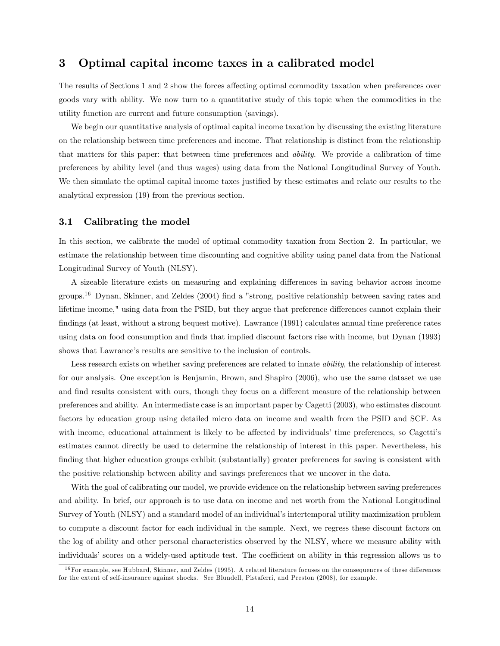## 3 Optimal capital income taxes in a calibrated model

The results of Sections 1 and 2 show the forces affecting optimal commodity taxation when preferences over goods vary with ability. We now turn to a quantitative study of this topic when the commodities in the utility function are current and future consumption (savings).

We begin our quantitative analysis of optimal capital income taxation by discussing the existing literature on the relationship between time preferences and income. That relationship is distinct from the relationship that matters for this paper: that between time preferences and ability. We provide a calibration of time preferences by ability level (and thus wages) using data from the National Longitudinal Survey of Youth. We then simulate the optimal capital income taxes justified by these estimates and relate our results to the analytical expression (19) from the previous section.

#### 3.1 Calibrating the model

In this section, we calibrate the model of optimal commodity taxation from Section 2. In particular, we estimate the relationship between time discounting and cognitive ability using panel data from the National Longitudinal Survey of Youth (NLSY).

A sizeable literature exists on measuring and explaining differences in saving behavior across income groups.<sup>16</sup> Dynan, Skinner, and Zeldes (2004) find a "strong, positive relationship between saving rates and lifetime income," using data from the PSID, but they argue that preference differences cannot explain their findings (at least, without a strong bequest motive). Lawrance (1991) calculates annual time preference rates using data on food consumption and Önds that implied discount factors rise with income, but Dynan (1993) shows that Lawrance's results are sensitive to the inclusion of controls.

Less research exists on whether saving preferences are related to innate ability, the relationship of interest for our analysis. One exception is Benjamin, Brown, and Shapiro (2006), who use the same dataset we use and find results consistent with ours, though they focus on a different measure of the relationship between preferences and ability. An intermediate case is an important paper by Cagetti (2003), who estimates discount factors by education group using detailed micro data on income and wealth from the PSID and SCF. As with income, educational attainment is likely to be affected by individuals' time preferences, so Cagetti's estimates cannot directly be used to determine the relationship of interest in this paper. Nevertheless, his finding that higher education groups exhibit (substantially) greater preferences for saving is consistent with the positive relationship between ability and savings preferences that we uncover in the data.

With the goal of calibrating our model, we provide evidence on the relationship between saving preferences and ability. In brief, our approach is to use data on income and net worth from the National Longitudinal Survey of Youth (NLSY) and a standard model of an individual's intertemporal utility maximization problem to compute a discount factor for each individual in the sample. Next, we regress these discount factors on the log of ability and other personal characteristics observed by the NLSY, where we measure ability with individuals' scores on a widely-used aptitude test. The coefficient on ability in this regression allows us to

 $16$  For example, see Hubbard, Skinner, and Zeldes (1995). A related literature focuses on the consequences of these differences for the extent of self-insurance against shocks. See Blundell, Pistaferri, and Preston (2008), for example.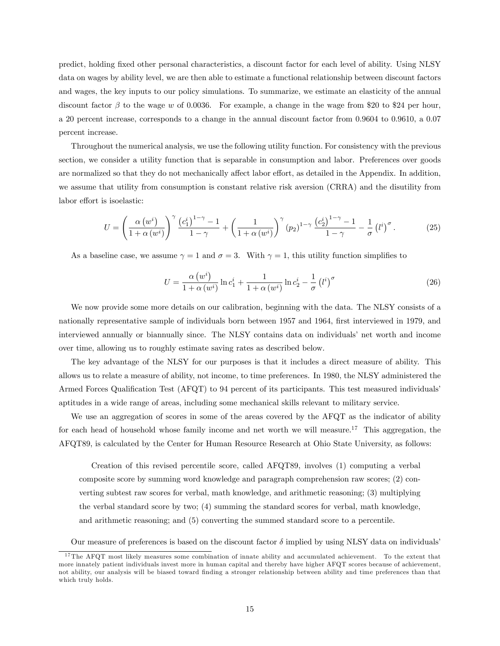predict, holding Öxed other personal characteristics, a discount factor for each level of ability. Using NLSY data on wages by ability level, we are then able to estimate a functional relationship between discount factors and wages, the key inputs to our policy simulations. To summarize, we estimate an elasticity of the annual discount factor  $\beta$  to the wage w of 0.0036. For example, a change in the wage from \$20 to \$24 per hour, a 20 percent increase, corresponds to a change in the annual discount factor from 0.9604 to 0.9610, a 0.07 percent increase.

Throughout the numerical analysis, we use the following utility function. For consistency with the previous section, we consider a utility function that is separable in consumption and labor. Preferences over goods are normalized so that they do not mechanically affect labor effort, as detailed in the Appendix. In addition, we assume that utility from consumption is constant relative risk aversion (CRRA) and the disutility from labor effort is isoelastic:

$$
U = \left(\frac{\alpha (w^{i})}{1 + \alpha (w^{i})}\right)^{\gamma} \frac{\left(c_{1}^{i}\right)^{1 - \gamma} - 1}{1 - \gamma} + \left(\frac{1}{1 + \alpha (w^{i})}\right)^{\gamma} (p_{2})^{1 - \gamma} \frac{\left(c_{2}^{i}\right)^{1 - \gamma} - 1}{1 - \gamma} - \frac{1}{\sigma} \left(l^{i}\right)^{\sigma}.
$$
 (25)

As a baseline case, we assume  $\gamma = 1$  and  $\sigma = 3$ . With  $\gamma = 1$ , this utility function simplifies to

$$
U = \frac{\alpha (w^{i})}{1 + \alpha (w^{i})} \ln c_1^{i} + \frac{1}{1 + \alpha (w^{i})} \ln c_2^{i} - \frac{1}{\sigma} (l^{i})^{\sigma}
$$
\n(26)

We now provide some more details on our calibration, beginning with the data. The NLSY consists of a nationally representative sample of individuals born between 1957 and 1964, first interviewed in 1979, and interviewed annually or biannually since. The NLSY contains data on individuals' net worth and income over time, allowing us to roughly estimate saving rates as described below.

The key advantage of the NLSY for our purposes is that it includes a direct measure of ability. This allows us to relate a measure of ability, not income, to time preferences. In 1980, the NLSY administered the Armed Forces Qualification Test (AFQT) to 94 percent of its participants. This test measured individuals aptitudes in a wide range of areas, including some mechanical skills relevant to military service.

We use an aggregation of scores in some of the areas covered by the AFQT as the indicator of ability for each head of household whose family income and net worth we will measure.<sup>17</sup> This aggregation, the AFQT89, is calculated by the Center for Human Resource Research at Ohio State University, as follows:

Creation of this revised percentile score, called AFQT89, involves (1) computing a verbal composite score by summing word knowledge and paragraph comprehension raw scores; (2) converting subtest raw scores for verbal, math knowledge, and arithmetic reasoning; (3) multiplying the verbal standard score by two; (4) summing the standard scores for verbal, math knowledge, and arithmetic reasoning; and (5) converting the summed standard score to a percentile.

Our measure of preferences is based on the discount factor  $\delta$  implied by using NLSY data on individuals<sup>7</sup>

<sup>&</sup>lt;sup>17</sup>The AFQT most likely measures some combination of innate ability and accumulated achievement. To the extent that more innately patient individuals invest more in human capital and thereby have higher AFQT scores because of achievement, not ability, our analysis will be biased toward Önding a stronger relationship between ability and time preferences than that which truly holds.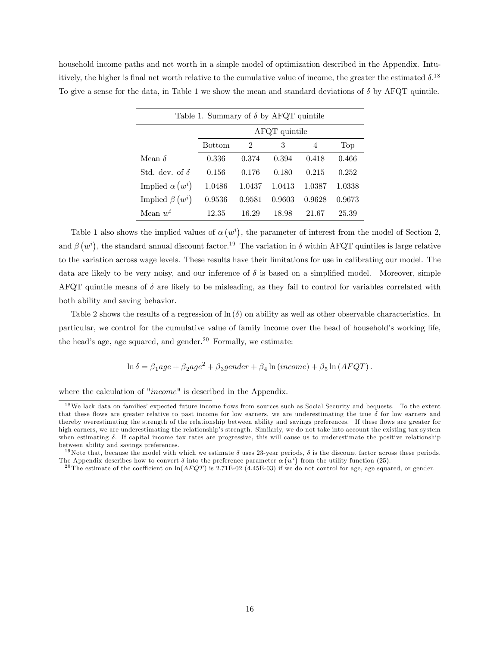household income paths and net worth in a simple model of optimization described in the Appendix. Intuitively, the higher is final net worth relative to the cumulative value of income, the greater the estimated  $\delta^{18}$ To give a sense for the data, in Table 1 we show the mean and standard deviations of  $\delta$  by AFQT quintile.

| Table 1. Summary of $\delta$ by AFQT quintile |                 |        |        |        |        |  |  |  |
|-----------------------------------------------|-----------------|--------|--------|--------|--------|--|--|--|
|                                               | $AFQT$ quintile |        |        |        |        |  |  |  |
|                                               | <b>Bottom</b>   | 2      | 3      | 4      | Top    |  |  |  |
| Mean $\delta$                                 | 0.336           | 0.374  | 0.394  | 0.418  | 0.466  |  |  |  |
| Std. dev. of $\delta$                         | 0.156           | 0.176  | 0.180  | 0.215  | 0.252  |  |  |  |
| Implied $\alpha(w^i)$                         | 1.0486          | 1.0437 | 1.0413 | 1.0387 | 1.0338 |  |  |  |
| Implied $\beta(w^i)$                          | 0.9536          | 0.9581 | 0.9603 | 0.9628 | 0.9673 |  |  |  |
| Mean $w^i$                                    | 12.35           | 16.29  | 18.98  | 21.67  | 25.39  |  |  |  |

Table 1 also shows the implied values of  $\alpha(w^i)$ , the parameter of interest from the model of Section 2, and  $\beta\left(w^i\right)$ , the standard annual discount factor.<sup>19</sup> The variation in  $\delta$  within AFQT quintiles is large relative to the variation across wage levels. These results have their limitations for use in calibrating our model. The data are likely to be very noisy, and our inference of  $\delta$  is based on a simplified model. Moreover, simple AFQT quintile means of  $\delta$  are likely to be misleading, as they fail to control for variables correlated with both ability and saving behavior.

Table 2 shows the results of a regression of  $\ln(\delta)$  on ability as well as other observable characteristics. In particular, we control for the cumulative value of family income over the head of household's working life, the head's age, age squared, and gender.<sup>20</sup> Formally, we estimate:

$$
\ln \delta = \beta_1 age + \beta_2 age^2 + \beta_3 gender + \beta_4 \ln (income) + \beta_5 \ln (AFQT).
$$

where the calculation of "*income*" is described in the Appendix.

 $18$ We lack data on families' expected future income flows from sources such as Social Security and bequests. To the extent that these flows are greater relative to past income for low earners, we are underestimating the true  $\delta$  for low earners and thereby overestimating the strength of the relationship between ability and savings preferences. If these flows are greater for high earners, we are underestimating the relationship's strength. Similarly, we do not take into account the existing tax system when estimating  $\delta$ . If capital income tax rates are progressive, this will cause us to underestimate the positive relationship between ability and savings preferences.

<sup>&</sup>lt;sup>19</sup>Note that, because the model with which we estimate  $\delta$  uses 23-year periods,  $\delta$  is the discount factor across these periods. The Appendix describes how to convert  $\delta$  into the preference parameter  $\alpha(w^i)$  from the utility function (25).

<sup>&</sup>lt;sup>20</sup>The estimate of the coefficient on  $\ln(AFQT)$  is 2.71E-02 (4.45E-03) if we do not control for age, age squared, or gender.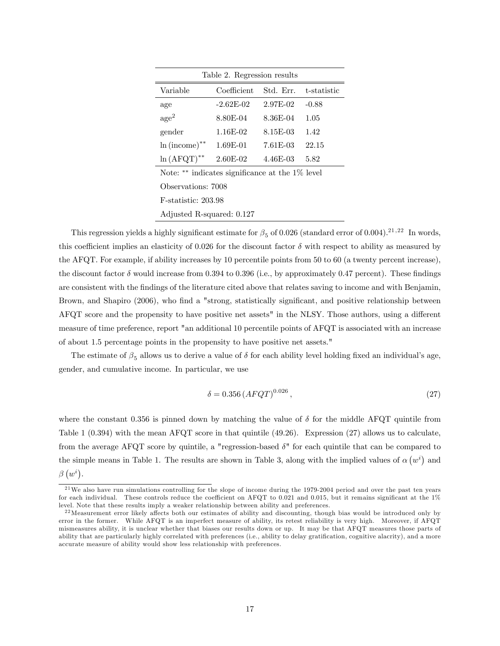| Table 2. Regression results                        |             |           |             |  |  |  |  |  |
|----------------------------------------------------|-------------|-----------|-------------|--|--|--|--|--|
| Variable                                           | Coefficient | Std. Err. | t-statistic |  |  |  |  |  |
| age                                                | $-2.62E-02$ | 2.97E-02  | $-0.88$     |  |  |  |  |  |
| $\rm{age}^2$                                       | 8.80E-04    | 8.36E-04  | 1.05        |  |  |  |  |  |
| gender                                             | 1.16E-02    | 8.15E-03  | 1.42        |  |  |  |  |  |
| $ln(income)$ **                                    | 1.69E-01    | 7.61E-03  | 22.15       |  |  |  |  |  |
| $\ln(AFQT)^{**}$                                   | 2.60E-02    | 4.46E-03  | 5.82        |  |  |  |  |  |
| Note: ** indicates significance at the $1\%$ level |             |           |             |  |  |  |  |  |
| Observations: 7008                                 |             |           |             |  |  |  |  |  |

F-statistic: 203.98

Adjusted R-squared: 0.127

This regression yields a highly significant estimate for  $\beta_5$  of 0.026 (standard error of 0.004).<sup>21,22</sup> In words, this coefficient implies an elasticity of 0.026 for the discount factor  $\delta$  with respect to ability as measured by the AFQT. For example, if ability increases by 10 percentile points from 50 to 60 (a twenty percent increase), the discount factor  $\delta$  would increase from 0.394 to 0.396 (i.e., by approximately 0.47 percent). These findings are consistent with the findings of the literature cited above that relates saving to income and with Benjamin, Brown, and Shapiro (2006), who find a "strong, statistically significant, and positive relationship between  $\text{AFQT score}$  and the propensity to have positive net assets" in the NLSY. Those authors, using a different measure of time preference, report "an additional 10 percentile points of AFQT is associated with an increase of about 1.5 percentage points in the propensity to have positive net assets."

The estimate of  $\beta_5$  allows us to derive a value of  $\delta$  for each ability level holding fixed an individual's age, gender, and cumulative income. In particular, we use

$$
\delta = 0.356 \left( AFGT \right)^{0.026},\tag{27}
$$

where the constant 0.356 is pinned down by matching the value of  $\delta$  for the middle AFQT quintile from Table 1 (0.394) with the mean AFQT score in that quintile (49.26). Expression (27) allows us to calculate, from the average AFQT score by quintile, a "regression-based  $\delta$ " for each quintile that can be compared to the simple means in Table 1. The results are shown in Table 3, along with the implied values of  $\alpha(w^i)$  and  $\beta(w^i)$ .

 $^{21}$ We also have run simulations controlling for the slope of income during the 1979-2004 period and over the past ten years for each individual. These controls reduce the coefficient on AFQT to 0.021 and 0.015, but it remains significant at the  $1\%$ level. Note that these results imply a weaker relationship between ability and preferences.

 $^{22}$ Measurement error likely affects both our estimates of ability and discounting, though bias would be introduced only by error in the former. While AFQT is an imperfect measure of ability, its retest reliability is very high. Moreover, if AFQT mismeasures ability, it is unclear whether that biases our results down or up. It may be that AFQT measures those parts of ability that are particularly highly correlated with preferences (i.e., ability to delay gratification, cognitive alacrity), and a more accurate measure of ability would show less relationship with preferences.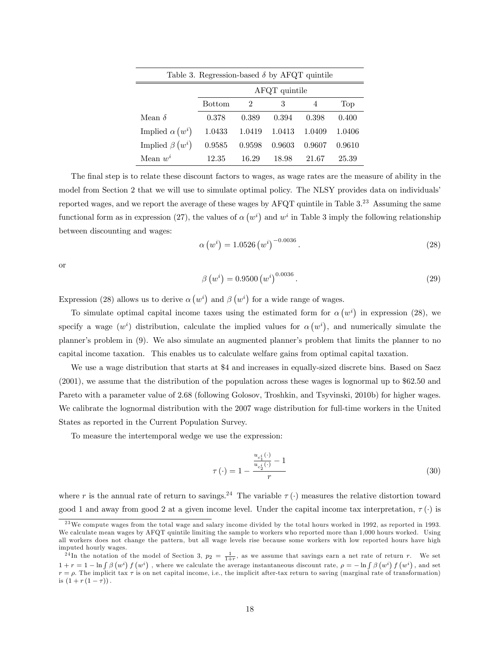| Table 3. Regression-based $\delta$ by AFQT quintile |               |                             |        |        |        |  |  |  |
|-----------------------------------------------------|---------------|-----------------------------|--------|--------|--------|--|--|--|
|                                                     | AFQT quintile |                             |        |        |        |  |  |  |
|                                                     | <b>Bottom</b> | $\mathcal{D}_{\mathcal{L}}$ | 3      | 4      | Top    |  |  |  |
| Mean $\delta$                                       | 0.378         | 0.389                       | 0.394  | 0.398  | 0.400  |  |  |  |
| Implied $\alpha(w^i)$                               | 1.0433        | 1.0419                      | 1.0413 | 1.0409 | 1.0406 |  |  |  |
| Implied $\beta(u^i)$                                | 0.9585        | 0.9598                      | 0.9603 | 0.9607 | 0.9610 |  |  |  |
| Mean $w^i$                                          | 12.35         | 16.29                       | 18.98  | 21.67  | 25.39  |  |  |  |

The final step is to relate these discount factors to wages, as wage rates are the measure of ability in the model from Section 2 that we will use to simulate optimal policy. The NLSY provides data on individuals' reported wages, and we report the average of these wages by AFQT quintile in Table  $3.^{23}$  Assuming the same functional form as in expression (27), the values of  $\alpha(w^i)$  and  $w^i$  in Table 3 imply the following relationship between discounting and wages:

$$
\alpha (w^i) = 1.0526 (w^i)^{-0.0036} \,. \tag{28}
$$

or

$$
\beta(w^{i}) = 0.9500 (w^{i})^{0.0036}.
$$
\n(29)

Expression (28) allows us to derive  $\alpha(w^i)$  and  $\beta(w^i)$  for a wide range of wages.

To simulate optimal capital income taxes using the estimated form for  $\alpha (w^i)$  in expression (28), we specify a wage  $(w<sup>i</sup>)$  distribution, calculate the implied values for  $\alpha(w<sup>i</sup>)$ , and numerically simulate the planner's problem in (9). We also simulate an augmented planner's problem that limits the planner to no capital income taxation. This enables us to calculate welfare gains from optimal capital taxation.

We use a wage distribution that starts at \$4 and increases in equally-sized discrete bins. Based on Saez (2001), we assume that the distribution of the population across these wages is lognormal up to \$62.50 and Pareto with a parameter value of 2.68 (following Golosov, Troshkin, and Tsyvinski, 2010b) for higher wages. We calibrate the lognormal distribution with the 2007 wage distribution for full-time workers in the United States as reported in the Current Population Survey.

To measure the intertemporal wedge we use the expression:

$$
\tau(\cdot) = 1 - \frac{\frac{u_{c_1}(\cdot)}{u_{c_2}(\cdot)} - 1}{r} \tag{30}
$$

where r is the annual rate of return to savings.<sup>24</sup> The variable  $\tau(\cdot)$  measures the relative distortion toward good 1 and away from good 2 at a given income level. Under the capital income tax interpretation,  $\tau(\cdot)$  is

<sup>&</sup>lt;sup>23</sup>We compute wages from the total wage and salary income divided by the total hours worked in 1992, as reported in 1993. We calculate mean wages by AFQT quintile limiting the sample to workers who reported more than 1,000 hours worked. Using all workers does not change the pattern, but all wage levels rise because some workers with low reported hours have high imputed hourly wages.

<sup>&</sup>lt;sup>24</sup>In the notation of the model of Section 3,  $p_2 = \frac{1}{1+r}$ , as we assume that savings earn a net rate of return r. We set  $1 + r = 1 - \ln \int \beta \left(w^{i}\right) f\left(w^{i}\right)$ , where we calculate the average instantaneous discount rate,  $\rho = -\ln \int \beta \left(w^{i}\right) f\left(w^{i}\right)$ , and set  $r = \rho$ . The implicit tax  $\tau$  is on net capital income, i.e., the implicit after-tax return to saving (marginal rate of transformation) is  $(1 + r(1 - \tau))$ .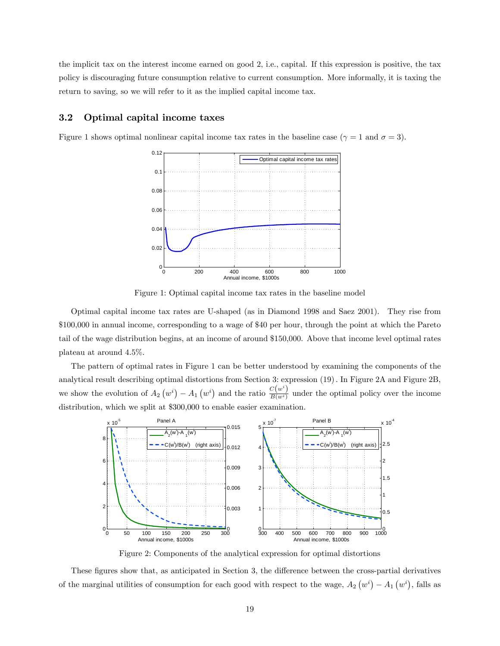the implicit tax on the interest income earned on good 2, i.e., capital. If this expression is positive, the tax policy is discouraging future consumption relative to current consumption. More informally, it is taxing the return to saving, so we will refer to it as the implied capital income tax.

#### 3.2 Optimal capital income taxes

Figure 1 shows optimal nonlinear capital income tax rates in the baseline case ( $\gamma = 1$  and  $\sigma = 3$ ).



Figure 1: Optimal capital income tax rates in the baseline model

Optimal capital income tax rates are U-shaped (as in Diamond 1998 and Saez 2001). They rise from \$100,000 in annual income, corresponding to a wage of \$40 per hour, through the point at which the Pareto tail of the wage distribution begins, at an income of around \$150,000. Above that income level optimal rates plateau at around 4.5%.

The pattern of optimal rates in Figure 1 can be better understood by examining the components of the analytical result describing optimal distortions from Section 3: expression (19): In Figure 2A and Figure 2B, we show the evolution of  $A_2(v^i) - A_1(v^i)$  and the ratio  $\frac{C(v^i)}{B(v^i)}$  $\frac{\partial(u)}{\partial(u_i)}$  under the optimal policy over the income distribution, which we split at \$300,000 to enable easier examination.



Figure 2: Components of the analytical expression for optimal distortions

These figures show that, as anticipated in Section 3, the difference between the cross-partial derivatives of the marginal utilities of consumption for each good with respect to the wage,  $A_2(w^i) - A_1(w^i)$ , falls as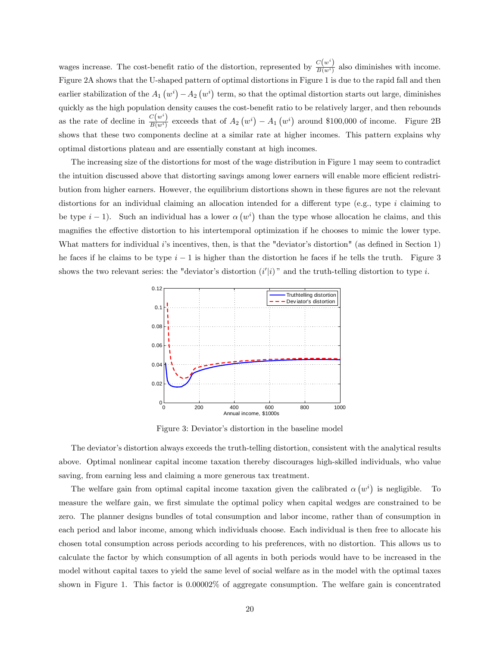wages increase. The cost-benefit ratio of the distortion, represented by  $\frac{C(w^i)}{B(w^i)}$  $\frac{\mathcal{O}(w)}{B(w^i)}$  also diminishes with income. Figure 2A shows that the U-shaped pattern of optimal distortions in Figure 1 is due to the rapid fall and then earlier stabilization of the  $A_1(w^i) - A_2(w^i)$  term, so that the optimal distortion starts out large, diminishes quickly as the high population density causes the cost-benefit ratio to be relatively larger, and then rebounds as the rate of decline in  $\frac{C(w^i)}{B(w^i)}$  $\frac{C(w^*)}{B(w^i)}$  exceeds that of  $A_2(w^i) - A_1(w^i)$  around \$100,000 of income. Figure 2B shows that these two components decline at a similar rate at higher incomes. This pattern explains why optimal distortions plateau and are essentially constant at high incomes.

The increasing size of the distortions for most of the wage distribution in Figure 1 may seem to contradict the intuition discussed above that distorting savings among lower earners will enable more efficient redistribution from higher earners. However, the equilibrium distortions shown in these figures are not the relevant distortions for an individual claiming an allocation intended for a different type (e.g., type i claiming to be type  $i-1$ ). Such an individual has a lower  $\alpha (w^i)$  than the type whose allocation he claims, and this magnifies the effective distortion to his intertemporal optimization if he chooses to mimic the lower type. What matters for individual i's incentives, then, is that the "deviator's distortion" (as defined in Section 1) he faces if he claims to be type  $i-1$  is higher than the distortion he faces if he tells the truth. Figure 3 shows the two relevant series: the "deviator's distortion  $(i'|i)$ " and the truth-telling distortion to type i.



Figure 3: Deviator's distortion in the baseline model

The deviator's distortion always exceeds the truth-telling distortion, consistent with the analytical results above. Optimal nonlinear capital income taxation thereby discourages high-skilled individuals, who value saving, from earning less and claiming a more generous tax treatment.

The welfare gain from optimal capital income taxation given the calibrated  $\alpha(w^i)$  is negligible. To measure the welfare gain, we first simulate the optimal policy when capital wedges are constrained to be zero. The planner designs bundles of total consumption and labor income, rather than of consumption in each period and labor income, among which individuals choose. Each individual is then free to allocate his chosen total consumption across periods according to his preferences, with no distortion. This allows us to calculate the factor by which consumption of all agents in both periods would have to be increased in the model without capital taxes to yield the same level of social welfare as in the model with the optimal taxes shown in Figure 1. This factor is 0.00002% of aggregate consumption. The welfare gain is concentrated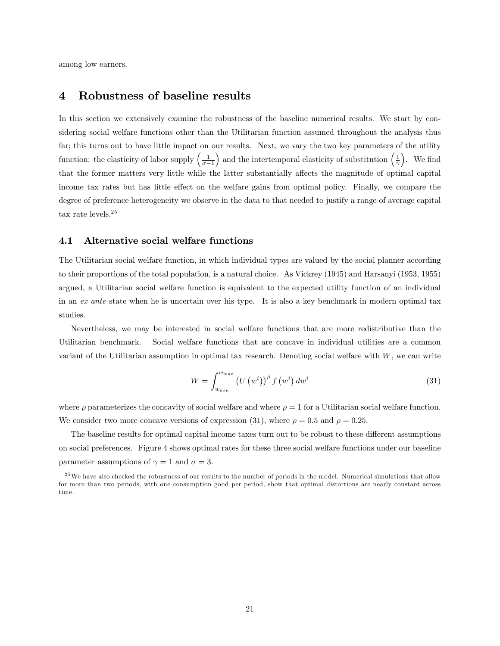among low earners.

## 4 Robustness of baseline results

In this section we extensively examine the robustness of the baseline numerical results. We start by considering social welfare functions other than the Utilitarian function assumed throughout the analysis thus far; this turns out to have little impact on our results. Next, we vary the two key parameters of the utility function: the elasticity of labor supply  $\left(\frac{1}{\sigma-1}\right)$ ) and the intertemporal elasticity of substitution  $\left(\frac{1}{\gamma}\right)$ ). We find that the former matters very little while the latter substantially affects the magnitude of optimal capital income tax rates but has little effect on the welfare gains from optimal policy. Finally, we compare the degree of preference heterogeneity we observe in the data to that needed to justify a range of average capital tax rate levels.<sup>25</sup>

#### 4.1 Alternative social welfare functions

The Utilitarian social welfare function, in which individual types are valued by the social planner according to their proportions of the total population, is a natural choice. As Vickrey (1945) and Harsanyi (1953, 1955) argued, a Utilitarian social welfare function is equivalent to the expected utility function of an individual in an ex ante state when he is uncertain over his type. It is also a key benchmark in modern optimal tax studies.

Nevertheless, we may be interested in social welfare functions that are more redistributive than the Utilitarian benchmark. Social welfare functions that are concave in individual utilities are a common variant of the Utilitarian assumption in optimal tax research. Denoting social welfare with  $W$ , we can write

$$
W = \int_{w_{\min}}^{w_{\max}} \left( U\left(w^i\right)\right)^{\rho} f\left(w^i\right) dw^i \tag{31}
$$

where  $\rho$  parameterizes the concavity of social welfare and where  $\rho = 1$  for a Utilitarian social welfare function. We consider two more concave versions of expression (31), where  $\rho = 0.5$  and  $\rho = 0.25$ .

The baseline results for optimal capital income taxes turn out to be robust to these different assumptions on social preferences. Figure 4 shows optimal rates for these three social welfare functions under our baseline parameter assumptions of  $\gamma = 1$  and  $\sigma = 3$ .

<sup>&</sup>lt;sup>25</sup>We have also checked the robustness of our results to the number of periods in the model. Numerical simulations that allow for more than two periods, with one consumption good per period, show that optimal distortions are nearly constant across time.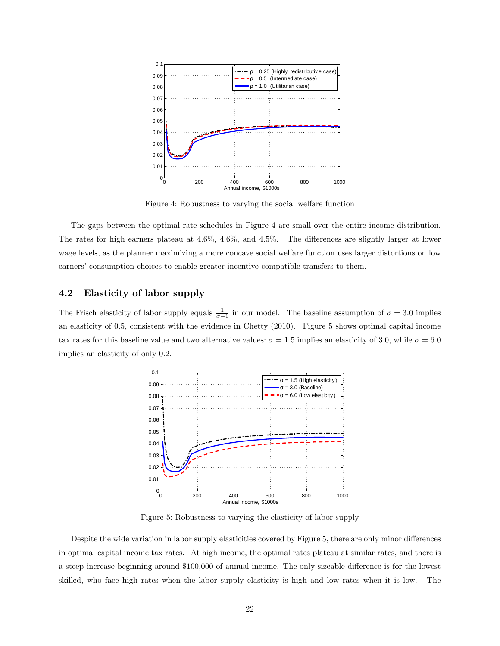

Figure 4: Robustness to varying the social welfare function

The gaps between the optimal rate schedules in Figure 4 are small over the entire income distribution. The rates for high earners plateau at  $4.6\%$ ,  $4.6\%$ , and  $4.5\%$ . The differences are slightly larger at lower wage levels, as the planner maximizing a more concave social welfare function uses larger distortions on low earners' consumption choices to enable greater incentive-compatible transfers to them.

#### 4.2 Elasticity of labor supply

The Frisch elasticity of labor supply equals  $\frac{1}{\sigma-1}$  in our model. The baseline assumption of  $\sigma = 3.0$  implies an elasticity of 0:5, consistent with the evidence in Chetty (2010). Figure 5 shows optimal capital income tax rates for this baseline value and two alternative values:  $\sigma = 1.5$  implies an elasticity of 3.0, while  $\sigma = 6.0$ implies an elasticity of only 0.2.



Figure 5: Robustness to varying the elasticity of labor supply

Despite the wide variation in labor supply elasticities covered by Figure 5, there are only minor differences in optimal capital income tax rates. At high income, the optimal rates plateau at similar rates, and there is a steep increase beginning around \$100,000 of annual income. The only sizeable difference is for the lowest skilled, who face high rates when the labor supply elasticity is high and low rates when it is low. The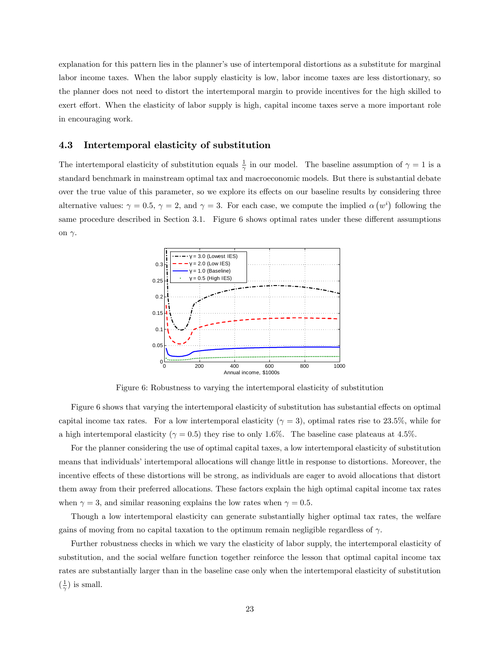explanation for this pattern lies in the planner's use of intertemporal distortions as a substitute for marginal labor income taxes. When the labor supply elasticity is low, labor income taxes are less distortionary, so the planner does not need to distort the intertemporal margin to provide incentives for the high skilled to exert effort. When the elasticity of labor supply is high, capital income taxes serve a more important role in encouraging work.

#### 4.3 Intertemporal elasticity of substitution

The intertemporal elasticity of substitution equals  $\frac{1}{\gamma}$  in our model. The baseline assumption of  $\gamma = 1$  is a standard benchmark in mainstream optimal tax and macroeconomic models. But there is substantial debate over the true value of this parameter, so we explore its effects on our baseline results by considering three alternative values:  $\gamma = 0.5$ ,  $\gamma = 2$ , and  $\gamma = 3$ . For each case, we compute the implied  $\alpha (w^i)$  following the same procedure described in Section 3.1. Figure 6 shows optimal rates under these different assumptions on  $\gamma$ .



Figure 6: Robustness to varying the intertemporal elasticity of substitution

Figure 6 shows that varying the intertemporal elasticity of substitution has substantial effects on optimal capital income tax rates. For a low intertemporal elasticity  $(\gamma = 3)$ , optimal rates rise to 23.5%, while for a high intertemporal elasticity ( $\gamma = 0.5$ ) they rise to only 1.6%. The baseline case plateaus at 4.5%.

For the planner considering the use of optimal capital taxes, a low intertemporal elasticity of substitution means that individuals' intertemporal allocations will change little in response to distortions. Moreover, the incentive effects of these distortions will be strong, as individuals are eager to avoid allocations that distort them away from their preferred allocations. These factors explain the high optimal capital income tax rates when  $\gamma = 3$ , and similar reasoning explains the low rates when  $\gamma = 0.5$ .

Though a low intertemporal elasticity can generate substantially higher optimal tax rates, the welfare gains of moving from no capital taxation to the optimum remain negligible regardless of  $\gamma$ .

Further robustness checks in which we vary the elasticity of labor supply, the intertemporal elasticity of substitution, and the social welfare function together reinforce the lesson that optimal capital income tax rates are substantially larger than in the baseline case only when the intertemporal elasticity of substitution  $\left(\frac{1}{\gamma}\right)$  is small.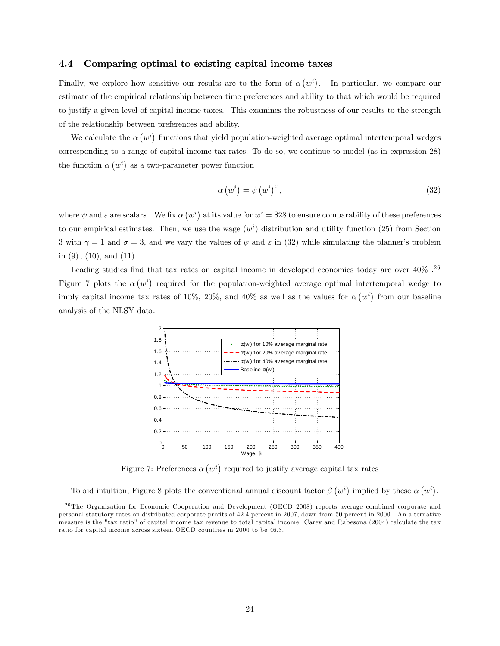#### 4.4 Comparing optimal to existing capital income taxes

Finally, we explore how sensitive our results are to the form of  $\alpha(w^i)$ . In particular, we compare our estimate of the empirical relationship between time preferences and ability to that which would be required to justify a given level of capital income taxes. This examines the robustness of our results to the strength of the relationship between preferences and ability.

We calculate the  $\alpha (w^i)$  functions that yield population-weighted average optimal intertemporal wedges corresponding to a range of capital income tax rates. To do so, we continue to model (as in expression 28) the function  $\alpha(w^i)$  as a two-parameter power function

$$
\alpha \left(w^{i}\right) = \psi \left(w^{i}\right)^{\varepsilon},\tag{32}
$$

where  $\psi$  and  $\varepsilon$  are scalars. We fix  $\alpha$   $(w^i)$  at its value for  $w^i = $28$  to ensure comparability of these preferences to our empirical estimates. Then, we use the wage  $(w<sup>i</sup>)$  distribution and utility function (25) from Section 3 with  $\gamma = 1$  and  $\sigma = 3$ , and we vary the values of  $\psi$  and  $\varepsilon$  in (32) while simulating the planner's problem in  $(9)$ ,  $(10)$ , and  $(11)$ .

Leading studies find that tax rates on capital income in developed economies today are over  $40\%$ .<sup>26</sup> Figure 7 plots the  $\alpha(w^i)$  required for the population-weighted average optimal intertemporal wedge to imply capital income tax rates of 10%, 20%, and 40% as well as the values for  $\alpha(w^i)$  from our baseline analysis of the NLSY data.



Figure 7: Preferences  $\alpha (w^i)$  required to justify average capital tax rates

To aid intuition, Figure 8 plots the conventional annual discount factor  $\beta(u^i)$  implied by these  $\alpha(u^i)$ .

<sup>&</sup>lt;sup>26</sup> The Organization for Economic Cooperation and Development (OECD 2008) reports average combined corporate and personal statutory rates on distributed corporate profits of 42.4 percent in 2007, down from 50 percent in 2000. An alternative measure is the "tax ratio" of capital income tax revenue to total capital income. Carey and Rabesona (2004) calculate the tax ratio for capital income across sixteen OECD countries in 2000 to be 46.3.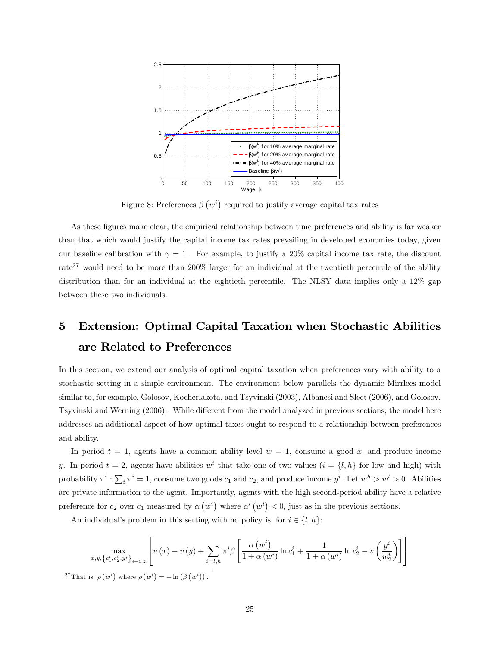

Figure 8: Preferences  $\beta\left(w^{i}\right)$  required to justify average capital tax rates

As these figures make clear, the empirical relationship between time preferences and ability is far weaker than that which would justify the capital income tax rates prevailing in developed economies today, given our baseline calibration with  $\gamma = 1$ . For example, to justify a 20% capital income tax rate, the discount rate<sup>27</sup> would need to be more than  $200\%$  larger for an individual at the twentieth percentile of the ability distribution than for an individual at the eightieth percentile. The NLSY data implies only a 12% gap between these two individuals.

# 5 Extension: Optimal Capital Taxation when Stochastic Abilities are Related to Preferences

In this section, we extend our analysis of optimal capital taxation when preferences vary with ability to a stochastic setting in a simple environment. The environment below parallels the dynamic Mirrlees model similar to, for example, Golosov, Kocherlakota, and Tsyvinski (2003), Albanesi and Sleet (2006), and Golosov, Tsyvinski and Werning (2006). While different from the model analyzed in previous sections, the model here addresses an additional aspect of how optimal taxes ought to respond to a relationship between preferences and ability.

In period  $t = 1$ , agents have a common ability level  $w = 1$ , consume a good x, and produce income y. In period  $t = 2$ , agents have abilities  $w<sup>i</sup>$  that take one of two values  $(i = \{l, h\})$  for low and high) with probability  $\pi^i : \sum_i \pi^i = 1$ , consume two goods  $c_1$  and  $c_2$ , and produce income  $y^i$ . Let  $w^h > w^l > 0$ . Abilities are private information to the agent. Importantly, agents with the high second-period ability have a relative preference for  $c_2$  over  $c_1$  measured by  $\alpha (w^i)$  where  $\alpha'(w^i) < 0$ , just as in the previous sections.

An individual's problem in this setting with no policy is, for  $i \in \{l, h\}$ :

$$
\max_{x,y,\left\{c_1^i,c_2^i,y^i\right\}_{i=1,2}} \left[ u\left(x\right)-v\left(y\right)+\sum_{i=l,h} \pi^i \beta \left[ \frac{\alpha\left(w^i\right)}{1+\alpha\left(w^i\right)} \ln c_1^i+\frac{1}{1+\alpha\left(w^i\right)} \ln c_2^i-v\left(\frac{y^i}{w_2^i}\right) \right] \right]
$$
  
<sup>27</sup>That is,  $\rho\left(w^i\right)$  where  $\rho\left(w^i\right) = -\ln\left(\beta\left(w^i\right)\right)$ .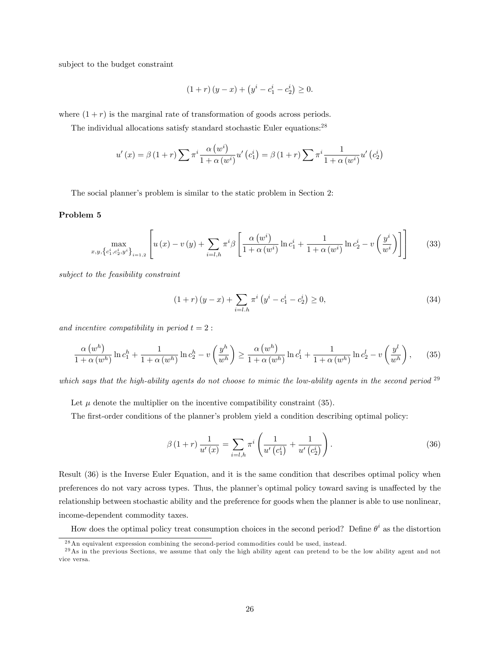subject to the budget constraint

$$
(1+r)(y-x) + (yi - c1i - c2i) \ge 0.
$$

where  $(1 + r)$  is the marginal rate of transformation of goods across periods.

The individual allocations satisfy standard stochastic Euler equations:<sup>28</sup>

$$
u'(x) = \beta (1+r) \sum \pi^{i} \frac{\alpha (w^{i})}{1 + \alpha (w^{i})} u'(c_{1}^{i}) = \beta (1+r) \sum \pi^{i} \frac{1}{1 + \alpha (w^{i})} u'(c_{2}^{i})
$$

The social planner's problem is similar to the static problem in Section 2:

#### Problem 5

$$
\max_{x,y,\left\{c_1^i,c_2^i,y^i\right\}_{i=1,2}} \left[ u\left(x\right)-v\left(y\right)+\sum_{i=l,h} \pi^i \beta \left[ \frac{\alpha\left(w^i\right)}{1+\alpha\left(w^i\right)} \ln c_1^i + \frac{1}{1+\alpha\left(w^i\right)} \ln c_2^i - v\left(\frac{y^i}{w^i}\right) \right] \right] \tag{33}
$$

subject to the feasibility constraint

$$
(1+r)(y-x) + \sum_{i=l.h} \pi^i \left( y^i - c_1^i - c_2^i \right) \ge 0,
$$
\n(34)

and incentive compatibility in period  $t = 2$ :

$$
\frac{\alpha (w^h)}{1+\alpha (w^h)}\ln c_1^h + \frac{1}{1+\alpha (w^h)}\ln c_2^h - v\left(\frac{y^h}{w^h}\right) \ge \frac{\alpha (w^h)}{1+\alpha (w^h)}\ln c_1^l + \frac{1}{1+\alpha (w^h)}\ln c_2^l - v\left(\frac{y^l}{w^h}\right),\tag{35}
$$

which says that the high-ability agents do not choose to mimic the low-ability agents in the second period  $29$ 

Let  $\mu$  denote the multiplier on the incentive compatibility constraint (35).

The first-order conditions of the planner's problem yield a condition describing optimal policy:

$$
\beta(1+r)\frac{1}{u'(x)} = \sum_{i=l,h} \pi^i \left(\frac{1}{u'(c_1^i)} + \frac{1}{u'(c_2^i)}\right).
$$
\n(36)

Result (36) is the Inverse Euler Equation, and it is the same condition that describes optimal policy when preferences do not vary across types. Thus, the planner's optimal policy toward saving is unaffected by the relationship between stochastic ability and the preference for goods when the planner is able to use nonlinear, income-dependent commodity taxes.

How does the optimal policy treat consumption choices in the second period? Define  $\theta^i$  as the distortion

<sup>2 8</sup>An equivalent expression combining the second-period commodities could be used, instead.

<sup>&</sup>lt;sup>29</sup>As in the previous Sections, we assume that only the high ability agent can pretend to be the low ability agent and not vice versa.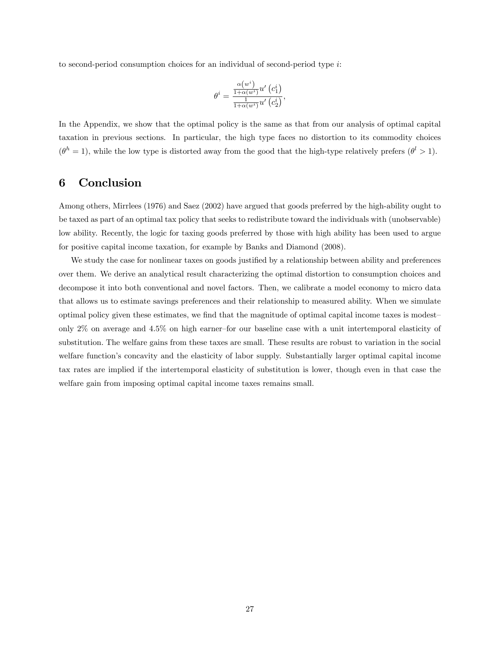to second-period consumption choices for an individual of second-period type  $i$ :

$$
\theta^{i}=\frac{\frac{\alpha \left(w^{i}\right)}{1+\alpha \left(w^{i}\right)}u'\left(c_{1}^{i}\right)}{\frac{1}{1+\alpha \left(w^{i}\right)}u'\left(c_{2}^{i}\right)},
$$

In the Appendix, we show that the optimal policy is the same as that from our analysis of optimal capital taxation in previous sections. In particular, the high type faces no distortion to its commodity choices  $(\theta^h = 1)$ , while the low type is distorted away from the good that the high-type relatively prefers  $(\theta^l > 1)$ .

## 6 Conclusion

Among others, Mirrlees (1976) and Saez (2002) have argued that goods preferred by the high-ability ought to be taxed as part of an optimal tax policy that seeks to redistribute toward the individuals with (unobservable) low ability. Recently, the logic for taxing goods preferred by those with high ability has been used to argue for positive capital income taxation, for example by Banks and Diamond (2008).

We study the case for nonlinear taxes on goods justified by a relationship between ability and preferences over them. We derive an analytical result characterizing the optimal distortion to consumption choices and decompose it into both conventional and novel factors. Then, we calibrate a model economy to micro data that allows us to estimate savings preferences and their relationship to measured ability. When we simulate optimal policy given these estimates, we find that the magnitude of optimal capital income taxes is modestonly  $2\%$  on average and  $4.5\%$  on high earner-for our baseline case with a unit intertemporal elasticity of substitution. The welfare gains from these taxes are small. These results are robust to variation in the social welfare function's concavity and the elasticity of labor supply. Substantially larger optimal capital income tax rates are implied if the intertemporal elasticity of substitution is lower, though even in that case the welfare gain from imposing optimal capital income taxes remains small.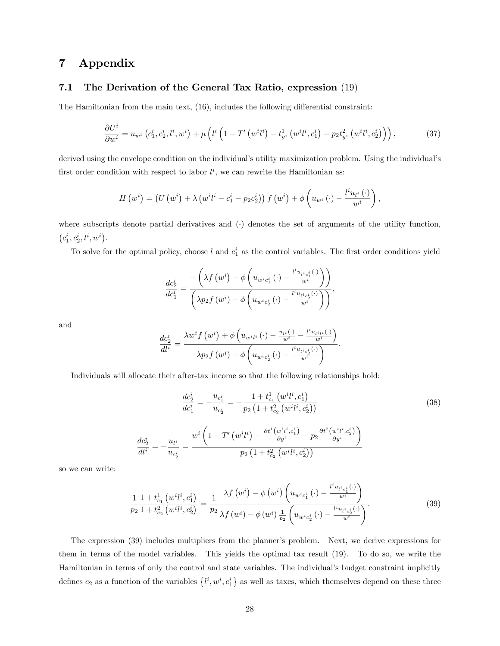## 7 Appendix

#### 7.1 The Derivation of the General Tax Ratio, expression (19)

The Hamiltonian from the main text,  $(16)$ , includes the following differential constraint:

$$
\frac{\partial U^i}{\partial w^i} = u_{w^i} \left( c_1^i, c_2^i, l^i, w^i \right) + \mu \left( l^i \left( 1 - T' \left( w^i l^i \right) - t_{y^i}^1 \left( w^i l^i, c_1^i \right) - p_2 t_{y^i}^2 \left( w^i l^i, c_2^i \right) \right) \right),\tag{37}
$$

derived using the envelope condition on the individual's utility maximization problem. Using the individual's first order condition with respect to labor  $l^i$ , we can rewrite the Hamiltonian as:

$$
H\left(w^{i}\right)=\left(U\left(w^{i}\right)+\lambda\left(w^{i}l^{i}-c_{1}^{i}-p_{2}c_{2}^{i}\right)\right)f\left(w^{i}\right)+\phi\left(u_{w^{i}}\left(\cdot\right)-\frac{l^{i}u_{l^{i}}\left(\cdot\right)}{w^{i}}\right),
$$

where subscripts denote partial derivatives and  $\left(\cdot\right)$  denotes the set of arguments of the utility function,  $\left(c_1^i, c_2^i, l^i, w^i\right)$ .

To solve for the optimal policy, choose l and  $c_1^i$  as the control variables. The first order conditions yield

$$
\frac{dc_2^i}{dc_1^i} = \frac{-\left(\lambda f\left(w^i\right) - \phi\left(u_{w^ic_1^i}\left(\cdot\right) - \frac{l^i u_{l^ic_1^i}\left(\cdot\right)}{w^i}\right)\right)}{\left(\lambda p_2 f\left(w^i\right) - \phi\left(u_{w^ic_2^i}\left(\cdot\right) - \frac{l^i u_{l^ic_2^i}\left(\cdot\right)}{w^i}\right)\right)},
$$

and

$$
\frac{dc_2^i}{dl^i} = \frac{\lambda w^i f\left(w^i\right) + \phi\left(u_{w^i l^i}\left(\cdot\right) - \frac{u_{l^i}(\cdot)}{w^i} - \frac{l^i u_{l^i l^i}(\cdot)}{w^i}\right)}{\lambda p_2 f\left(w^i\right) - \phi\left(u_{w^i c_2^i}\left(\cdot\right) - \frac{l^i u_{l^i c_2^i}(\cdot)}{w^i}\right)}.
$$

Individuals will allocate their after-tax income so that the following relationships hold:

$$
\frac{dc_2^i}{dc_1^i} = -\frac{u_{c_1^i}}{u_{c_2^i}} = -\frac{1+t_{c_1}^1(w^{i}l^i, c_1^i)}{p_2(1+t_{c_2}^2(w^{i}l^i, c_2^i))}
$$
(38)  

$$
\frac{dc_2^i}{dl^i} = -\frac{u_{l^i}}{u_{c_2^i}} = \frac{w^i\left(1-T'\left(w^i l^i\right) - \frac{\partial t^1(w^{i}l^i, c_1^i)}{\partial y^i} - p_2 \frac{\partial t^2(w^{i}l^i, c_2^i)}{\partial y^i}\right)}{p_2\left(1+t_{c_2}^2(w^{i}l^i, c_2^i)\right)}
$$

so we can write:

$$
\frac{1}{p_2} \frac{1 + t_{c_1}^1 (w^i t^i, c_1^i)}{1 + t_{c_2}^2 (w^i t^i, c_2^i)} = \frac{1}{p_2} \frac{\lambda f(w^i) - \phi(w^i) \left( u_{w^i c_1^i}(\cdot) - \frac{t^i u_{t^i c_1^i}(\cdot)}{w^i} \right)}{\lambda f(w^i) - \phi(w^i) \frac{1}{p_2} \left( u_{w^i c_2^i}(\cdot) - \frac{t^i u_{t^i c_2^i}(\cdot)}{w^i} \right)}.
$$
\n(39)

The expression (39) includes multipliers from the planner's problem. Next, we derive expressions for them in terms of the model variables. This yields the optimal tax result (19). To do so, we write the Hamiltonian in terms of only the control and state variables. The individual's budget constraint implicitly defines  $c_2$  as a function of the variables  $\{l^i, w^i, c_1^i\}$  as well as taxes, which themselves depend on these three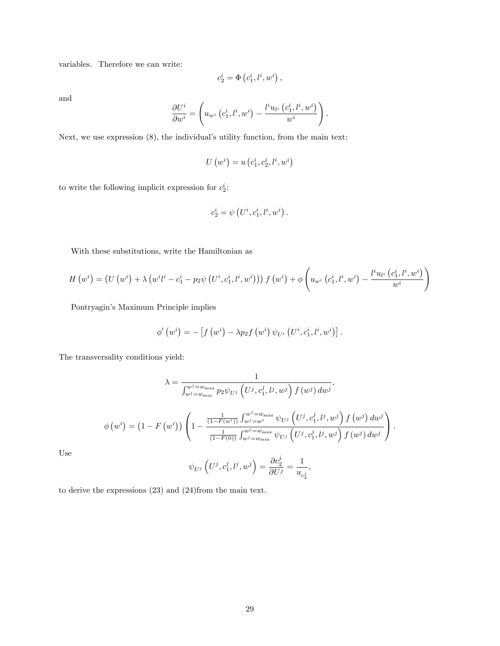variables. Therefore we can write:

$$
c_2^i = \Phi\left(c_1^i, l^i, w^i\right),
$$

and

$$
\frac{\partial U^i}{\partial w^i} = \left(u_{w^i}\left(c^i_1, l^i, w^i\right) - \frac{l^i u_{l^i}\left(c^i_1, l^i, w^i\right)}{w^i}\right).
$$

Next, we use expression  $(8)$ , the individual's utility function, from the main text:

$$
U\left(w^i\right)=u\left(c^i_1,c^i_2,l^i,w^i\right)
$$

to write the following implicit expression for  $c_2^i$ :

$$
c_2^i = \psi\left(U^i, c_1^i, l^i, w^i\right).
$$

With these substitutions, write the Hamiltonian as

$$
H\left(w^{i}\right)=\left(U\left(w^{i}\right)+\lambda\left(w^{i}l^{i}-c_{1}^{i}-p_{2}\psi\left(U^{i},c_{1}^{i},l^{i},w^{i}\right)\right)\right)f\left(w^{i}\right)+\phi\left(u_{w^{i}}\left(c_{1}^{i},l^{i},w^{i}\right)-\frac{l^{i}u_{l^{i}}\left(c_{1}^{i},l^{i},w^{i}\right)}{w^{i}}\right)
$$

Pontryagin's Maximum Principle implies

$$
\phi'\left(w^{i}\right) = -\left[f\left(w^{i}\right) - \lambda p_{2} f\left(w^{i}\right) \psi_{U^{i}}\left(U^{i}, c_{1}^{i}, l^{i}, w^{i}\right)\right].
$$

The transversality conditions yield:

$$
\lambda = \frac{1}{\int_{w^{j} = w_{\min}}^{w^{j} = w_{\min}} p_{2} \psi_{U^{j}} \left( U^{j}, c_{1}^{j}, l^{j}, w^{j} \right) f(w^{j}) dw^{j}},
$$

$$
\phi(w^{i}) = (1 - F(w^{i})) \left( 1 - \frac{\frac{1}{(1 - F(w^{i}))} \int_{w^{j} = w^{i}}^{w^{j} = w_{\max}} \psi_{U^{j}} \left( U^{j}, c_{1}^{j}, l^{j}, w^{j} \right) f(w^{j}) dw^{j}}{\frac{1}{(1 - F(0))} \int_{w^{j} = w_{\min}}^{w^{j} = w_{\min}} \psi_{U^{j}} \left( U^{j}, c_{1}^{j}, l^{j}, w^{j} \right) f(w^{j}) dw^{j}} \right).
$$

Use

$$
\psi_{U^j}\left(U^j,c_1^j,l^j,w^j\right)=\frac{\partial c_2^j}{\partial U^j}=\frac{1}{u_{c_2^j}},
$$

to derive the expressions (23) and (24)from the main text.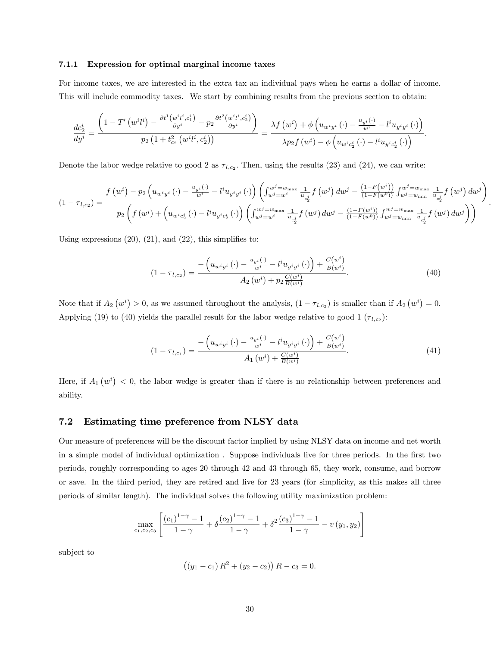#### 7.1.1 Expression for optimal marginal income taxes

For income taxes, we are interested in the extra tax an individual pays when he earns a dollar of income. This will include commodity taxes. We start by combining results from the previous section to obtain:

$$
\frac{dc_2^i}{dy^i} = \frac{\left(1 - T'\left(w^i l^i\right) - \frac{\partial t^1\left(w^i l^i, c_1^i\right)}{\partial y^i} - p_2 \frac{\partial t^2\left(w^i l^i, c_2^i\right)}{\partial y^i}\right)}{p_2 \left(1 + t_{c_2}^2\left(w^i l^i, c_2^i\right)\right)} = \frac{\lambda f\left(w^i\right) + \phi\left(u_{w^i y^i}\left(\cdot\right) - \frac{u_{y^i}(\cdot)}{w^i} - l^i u_{y^i y^i}\left(\cdot\right)\right)}{\lambda p_2 f\left(w^i\right) - \phi\left(u_{w^i c_2^i}\left(\cdot\right) - l^i u_{y^i c_2^i}\left(\cdot\right)\right)}.
$$

Denote the labor wedge relative to good 2 as  $\tau_{l,c_2}$ . Then, using the results (23) and (24), we can write:

$$
(1 - \tau_{l,c_2}) = \frac{f(w^i) - p_2 \left(u_{w^i y^i}(\cdot) - \frac{u_{y^i}(\cdot)}{w^i} - l^i u_{y^i y^i}(\cdot)\right) \left(\int_{w^j = w^{i}}^{w^j = w_{\text{max}}}\frac{1}{u_{c_2^j}} f(w^j) \, dw^j - \frac{(1 - F(w^i))}{(1 - F(w^0))} \int_{w^j = w_{\text{min}}}\frac{1}{u_{c_2^j}} f(w^j) \, dw^j\right)}{p_2 \left(f(w^i) + \left(u_{w^i c_2^i}(\cdot) - l^i u_{y^i c_2^i}(\cdot)\right) \left(\int_{w^j = w^{i}}^{w^j = w_{\text{max}}}\frac{1}{u_{c_2^j}} f(w^j) \, dw^j - \frac{(1 - F(w^i))}{(1 - F(w^0))} \int_{w^j = w_{\text{min}}}\frac{1}{u_{c_2^j}} f(w^j) \, dw^j\right)\right)}.
$$

Using expressions  $(20)$ ,  $(21)$ , and  $(22)$ , this simplifies to:

$$
(1 - \tau_{l,c_2}) = \frac{-\left(u_{w^i y^i}\left(\cdot\right) - \frac{u_{y^i}\left(\cdot\right)}{w^i} - l^i u_{y^i y^i}\left(\cdot\right)\right) + \frac{C(w^i)}{B(w^i)}}{A_2\left(w^i\right) + p_2 \frac{C(w^i)}{B(w^i)}}.
$$
\n
$$
(40)
$$

Note that if  $A_2(v^i) > 0$ , as we assumed throughout the analysis,  $(1 - \tau_{l,c_2})$  is smaller than if  $A_2(v^i) = 0$ . Applying (19) to (40) yields the parallel result for the labor wedge relative to good 1  $(\tau_{l,c_2})$ :

$$
(1 - \tau_{l,c_1}) = \frac{-\left(u_{w^i y^i}(\cdot) - \frac{u_{y^i}(\cdot)}{w^i} - l^i u_{y^i y^i}(\cdot)\right) + \frac{C(w^i)}{B(w^i)}}{A_1(w^i) + \frac{C(w^i)}{B(w^i)}}.
$$
(41)

Here, if  $A_1(w^i) < 0$ , the labor wedge is greater than if there is no relationship between preferences and ability.

#### 7.2 Estimating time preference from NLSY data

Our measure of preferences will be the discount factor implied by using NLSY data on income and net worth in a simple model of individual optimization. Suppose individuals live for three periods. In the first two periods, roughly corresponding to ages 20 through 42 and 43 through 65, they work, consume, and borrow or save. In the third period, they are retired and live for 23 years (for simplicity, as this makes all three periods of similar length). The individual solves the following utility maximization problem:

$$
\max_{c_1, c_2, c_3} \left[ \frac{(c_1)^{1-\gamma} - 1}{1 - \gamma} + \delta \frac{(c_2)^{1-\gamma} - 1}{1 - \gamma} + \delta^2 \frac{(c_3)^{1-\gamma} - 1}{1 - \gamma} - v(y_1, y_2) \right]
$$

subject to

$$
((y_1 - c_1) R^2 + (y_2 - c_2)) R - c_3 = 0.
$$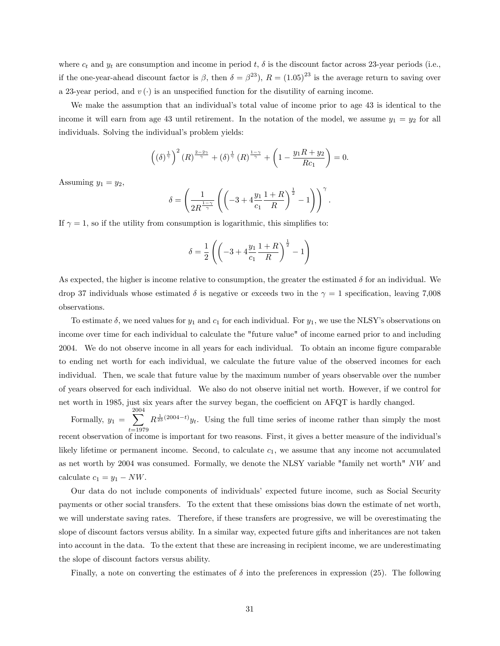where  $c_t$  and  $y_t$  are consumption and income in period t,  $\delta$  is the discount factor across 23-year periods (i.e., if the one-year-ahead discount factor is  $\beta$ , then  $\delta = \beta^{23}$ ,  $R = (1.05)^{23}$  is the average return to saving over a 23-year period, and  $v(\cdot)$  is an unspecified function for the disutility of earning income.

We make the assumption that an individual's total value of income prior to age 43 is identical to the income it will earn from age 43 until retirement. In the notation of the model, we assume  $y_1 = y_2$  for all individuals. Solving the individual's problem yields:

$$
\left(\left(\delta\right)^{\frac{1}{\gamma}}\right)^2\left(R\right)^{\frac{2-2\gamma}{\gamma}}+\left(\delta\right)^{\frac{1}{\gamma}}\left(R\right)^{\frac{1-\gamma}{\gamma}}+\left(1-\frac{y_1R+y_2}{Rc_1}\right)=0.
$$

Assuming  $y_1 = y_2$ ,

$$
\delta = \left(\frac{1}{2R^{\frac{1-\gamma}{\gamma}}}\left(\left(-3 + 4\frac{y_1}{c_1}\frac{1+R}{R}\right)^{\frac{1}{2}} - 1\right)\right)^{\gamma}.
$$

If  $\gamma = 1$ , so if the utility from consumption is logarithmic, this simplifies to:

$$
\delta = \frac{1}{2} \left( \left( -3 + 4 \frac{y_1}{c_1} \frac{1+R}{R} \right)^{\frac{1}{2}} - 1 \right)
$$

As expected, the higher is income relative to consumption, the greater the estimated  $\delta$  for an individual. We drop 37 individuals whose estimated  $\delta$  is negative or exceeds two in the  $\gamma = 1$  specification, leaving 7,008 observations.

To estimate  $\delta$ , we need values for  $y_1$  and  $c_1$  for each individual. For  $y_1$ , we use the NLSY's observations on income over time for each individual to calculate the "future value" of income earned prior to and including 2004. We do not observe income in all years for each individual. To obtain an income figure comparable to ending net worth for each individual, we calculate the future value of the observed incomes for each individual. Then, we scale that future value by the maximum number of years observable over the number of years observed for each individual. We also do not observe initial net worth. However, if we control for net worth in 1985, just six years after the survey began, the coefficient on AFQT is hardly changed.

Formally,  $y_1 =$ 2004 X  $_{t=1979}$  $R^{\frac{1}{23}(2004-t)}y_t$ . Using the full time series of income rather than simply the most recent observation of income is important for two reasons. First, it gives a better measure of the individual's likely lifetime or permanent income. Second, to calculate  $c_1$ , we assume that any income not accumulated as net worth by 2004 was consumed. Formally, we denote the NLSY variable "family net worth" NW and calculate  $c_1 = y_1 - NW$ .

Our data do not include components of individualsí expected future income, such as Social Security payments or other social transfers. To the extent that these omissions bias down the estimate of net worth, we will understate saving rates. Therefore, if these transfers are progressive, we will be overestimating the slope of discount factors versus ability. In a similar way, expected future gifts and inheritances are not taken into account in the data. To the extent that these are increasing in recipient income, we are underestimating the slope of discount factors versus ability.

Finally, a note on converting the estimates of  $\delta$  into the preferences in expression (25). The following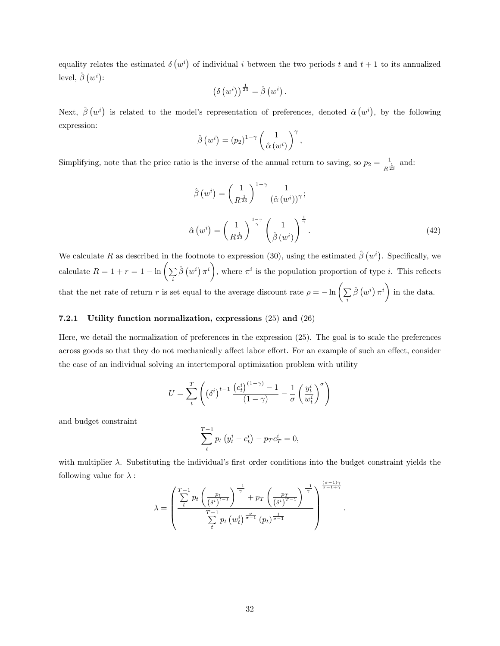equality relates the estimated  $\delta(w^i)$  of individual i between the two periods t and  $t+1$  to its annualized level,  $\hat{\beta}(w^i)$ :

$$
\left(\delta\left(w^i\right)\right)^{\frac{1}{23}}=\hat{\beta}\left(w^i\right).
$$

Next,  $\hat{\beta}(w^i)$  is related to the model's representation of preferences, denoted  $\hat{\alpha}(w^i)$ , by the following expression:

$$
\hat{\beta}(w^{i}) = (p_{2})^{1-\gamma} \left(\frac{1}{\hat{\alpha}(w^{i})}\right)^{\gamma},
$$

Simplifying, note that the price ratio is the inverse of the annual return to saving, so  $p_2 = \frac{1}{2}$  $\frac{1}{R^{\frac{1}{23}}}$  and:

$$
\hat{\beta}(w^{i}) = \left(\frac{1}{R^{\frac{1}{23}}}\right)^{1-\gamma} \frac{1}{(\hat{\alpha}(w^{i}))^{\gamma}};
$$
  

$$
\hat{\alpha}(w^{i}) = \left(\frac{1}{R^{\frac{1}{23}}}\right)^{\frac{1-\gamma}{\gamma}} \left(\frac{1}{\hat{\beta}(w^{i})}\right)^{\frac{1}{\gamma}}.
$$
\n(42)

:

We calculate R as described in the footnote to expression (30), using the estimated  $\hat{\beta}(w^i)$ . Specifically, we calculate  $R = 1 + r = 1 - \ln \left( \sum_i$  $\hat{\beta}(w^i)\pi^i$ , where  $\pi^i$  is the population proportion of type *i*. This reflects that the net rate of return r is set equal to the average discount rate  $\rho = -\ln\left(\sum_i\right)$  $\hat{\beta}(w^i)\pi^i$ in the data.

#### 7.2.1 Utility function normalization, expressions (25) and (26)

Here, we detail the normalization of preferences in the expression (25). The goal is to scale the preferences across goods so that they do not mechanically affect labor effort. For an example of such an effect, consider the case of an individual solving an intertemporal optimization problem with utility

$$
U = \sum_{t}^{T} \left( \left( \delta^{i} \right)^{t-1} \frac{\left( c_{t}^{i} \right)^{(1-\gamma)} - 1}{(1-\gamma)} - \frac{1}{\sigma} \left( \frac{y_{t}^{i}}{w_{t}^{i}} \right)^{\sigma} \right)
$$

and budget constraint

$$
\sum_{t}^{T-1} p_t (y_t^i - c_t^i) - p_T c_T^i = 0,
$$

with multiplier  $\lambda$ . Substituting the individual's first order conditions into the budget constraint yields the following value for  $\lambda$  :  $(1)$ 

$$
\lambda = \left(\frac{\sum_{t}^{T-1} p_t \left(\frac{p_t}{\left(\delta^{i}\right)^{t-1}}\right)^{\frac{-1}{\gamma}} + p_T \left(\frac{p_T}{\left(\delta^{i}\right)^{T-1}}\right)^{\frac{-1}{\gamma}}}{\sum_{t}^{T-1} p_t \left(w_t^{i}\right)^{\frac{\sigma}{\sigma-1}} (p_t)^{\frac{1}{\sigma-1}}}\right)^{\frac{\left(\sigma-1\right)\gamma}{\sigma-1+\gamma}}
$$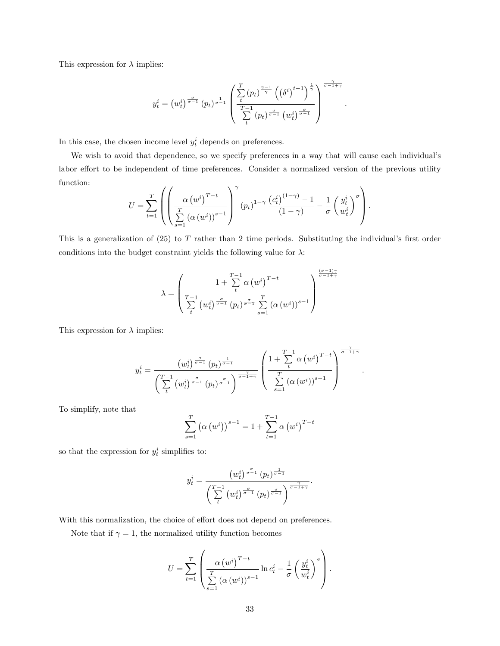This expression for  $\lambda$  implies:

$$
y_t^i = \left(w_t^i\right)^{\frac{\sigma}{\sigma-1}} (p_t)^{\frac{1}{\sigma-1}} \left(\frac{\sum\limits_t^T \left(p_t\right)^{\frac{\gamma-1}{\gamma}} \left(\left(\delta^i\right)^{t-1}\right)^{\frac{1}{\gamma}}}{\sum\limits_t^{T-1} \left(p_t\right)^{\frac{\sigma}{\sigma-1}} \left(w_t^i\right)^{\frac{\sigma}{\sigma-1}}}\right)^{\frac{\gamma}{\sigma-1+\gamma}}
$$

:

:

In this case, the chosen income level  $y_t^i$  depends on preferences.

We wish to avoid that dependence, so we specify preferences in a way that will cause each individual's labor effort to be independent of time preferences. Consider a normalized version of the previous utility function:

$$
U = \sum_{t=1}^{T} \left( \left( \frac{\alpha (w^{i})^{T-t}}{\sum_{s=1}^{T} (\alpha (w^{i}))^{s-1}} \right)^{\gamma} (p_{t})^{1-\gamma} \frac{\left(c_{t}^{i}\right)^{(1-\gamma)} - 1}{(1-\gamma)} - \frac{1}{\sigma} \left(\frac{y_{t}^{i}}{w_{t}^{i}}\right)^{\sigma} \right).
$$

This is a generalization of  $(25)$  to T rather than 2 time periods. Substituting the individual's first order conditions into the budget constraint yields the following value for  $\lambda$ :

$$
\lambda = \left(\frac{1 + \sum_{t=1}^{T-1} \alpha(w^{i})^{T-t}}{\sum_{t=1}^{T-1} (w^{i})^{\frac{\sigma}{\sigma-1}} (p_{t})^{\frac{\sigma}{\sigma-1}} \sum_{s=1}^{T} (\alpha(w^{i}))^{s-1}}\right)^{\frac{(\sigma-1)\gamma}{\sigma-1+\gamma}}
$$

This expression for  $\lambda$  implies:

$$
y_t^i = \frac{\left(w_t^i\right)^{\frac{\sigma}{\sigma-1}} (p_t)^{\frac{1}{\sigma-1}}}{\left(\sum_t^{T-1} \left(w_t^i\right)^{\frac{\sigma}{\sigma-1}} (p_t)^{\frac{\sigma}{\sigma-1}}\right)^{\frac{\gamma}{\sigma-1+\gamma}}} \left(\frac{1+\sum_t^{T-1} \alpha \left(w^i\right)^{T-t}}{\sum_{s=1}^T \left(\alpha \left(w^i\right)\right)^{s-1}}\right)^{\frac{\gamma}{\sigma-1+\gamma}}
$$

To simplify, note that

$$
\sum_{s=1}^{T} (\alpha (w^{i}))^{s-1} = 1 + \sum_{t=1}^{T-1} \alpha (w^{i})^{T-t}
$$

so that the expression for  $y_t^i$  simplifies to:

$$
y_t^i = \frac{\left(w_t^i\right)^{\frac{\sigma}{\sigma-1}} (p_t)^{\frac{1}{\sigma-1}}}{\left(\sum\limits_t^{T-1} \left(w_t^i\right)^{\frac{\sigma}{\sigma-1}} (p_t)^{\frac{\sigma}{\sigma-1}}\right)^{\frac{\gamma}{\sigma-1+\gamma}}}
$$

:

With this normalization, the choice of effort does not depend on preferences.

Note that if  $\gamma = 1$ , the normalized utility function becomes

$$
U = \sum_{t=1}^{T} \left( \frac{\alpha (w^i)^{T-t}}{\sum_{s=1}^{T} (\alpha (w^i))^{s-1}} \ln c_t^i - \frac{1}{\sigma} \left( \frac{y_t^i}{w_t^i} \right)^{\sigma} \right).
$$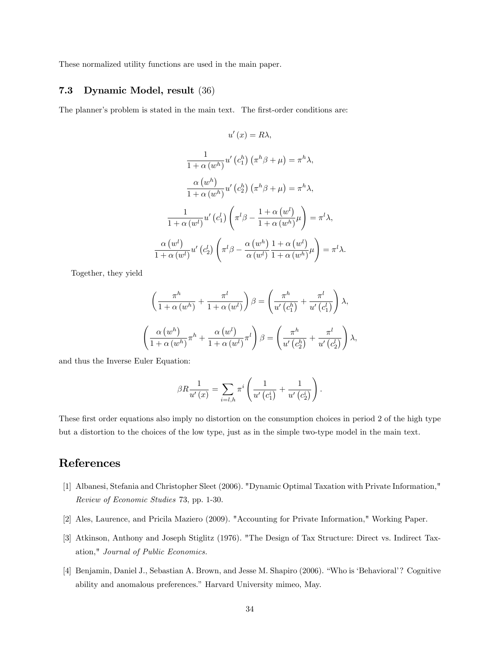These normalized utility functions are used in the main paper.

#### 7.3 Dynamic Model, result (36)

The planner's problem is stated in the main text. The first-order conditions are:

$$
u'(x) = R\lambda,
$$
  

$$
\frac{1}{1+\alpha (w^h)} u'(c_1^h) (\pi^h \beta + \mu) = \pi^h \lambda,
$$
  

$$
\frac{\alpha (w^h)}{1+\alpha (w^h)} u'(c_2^h) (\pi^h \beta + \mu) = \pi^h \lambda,
$$
  

$$
\frac{1}{1+\alpha (w^l)} u'(c_1^l) \left(\pi^l \beta - \frac{1+\alpha (w^l)}{1+\alpha (w^h)} \mu\right) = \pi^l \lambda,
$$
  

$$
\frac{\alpha (w^l)}{1+\alpha (w^l)} u'(c_2^l) \left(\pi^l \beta - \frac{\alpha (w^h)}{\alpha (w^l)} \frac{1+\alpha (w^l)}{1+\alpha (w^h)} \mu\right) = \pi^l \lambda.
$$

Together, they yield

$$
\left(\frac{\pi^h}{1+\alpha(w^h)} + \frac{\pi^l}{1+\alpha(w^l)}\right)\beta = \left(\frac{\pi^h}{u'\left(c_1^h\right)} + \frac{\pi^l}{u'\left(c_1^l\right)}\right)\lambda,
$$
\n
$$
\left(\frac{\alpha(w^h)}{1+\alpha(w^h)}\pi^h + \frac{\alpha(w^l)}{1+\alpha(w^l)}\pi^l\right)\beta = \left(\frac{\pi^h}{u'\left(c_2^h\right)} + \frac{\pi^l}{u'\left(c_2^l\right)}\right)\lambda,
$$

and thus the Inverse Euler Equation:

$$
\beta R \frac{1}{u'(x)} = \sum_{i=l,h} \pi^i \left( \frac{1}{u'\left(c_1^i\right)} + \frac{1}{u'\left(c_2^i\right)} \right).
$$

These first order equations also imply no distortion on the consumption choices in period 2 of the high type but a distortion to the choices of the low type, just as in the simple two-type model in the main text.

## References

- [1] Albanesi, Stefania and Christopher Sleet (2006). "Dynamic Optimal Taxation with Private Information," Review of Economic Studies 73, pp. 1-30.
- [2] Ales, Laurence, and Pricila Maziero (2009). "Accounting for Private Information," Working Paper.
- [3] Atkinson, Anthony and Joseph Stiglitz (1976). "The Design of Tax Structure: Direct vs. Indirect Taxation," Journal of Public Economics.
- [4] Benjamin, Daniel J., Sebastian A. Brown, and Jesse M. Shapiro (2006). "Who is 'Behavioral'? Cognitive ability and anomalous preferences." Harvard University mimeo, May.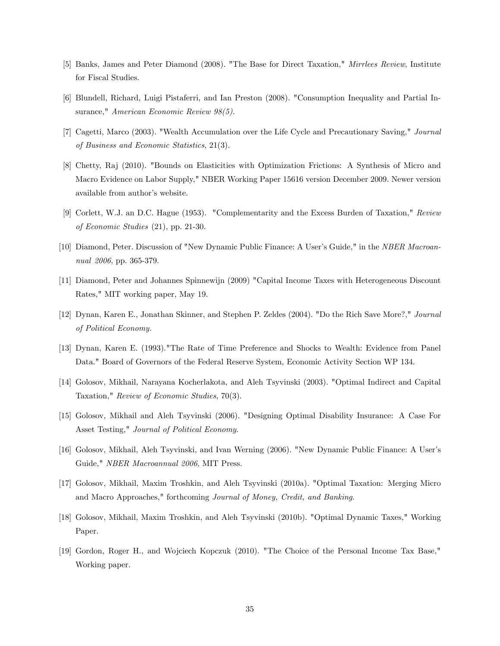- [5] Banks, James and Peter Diamond (2008). "The Base for Direct Taxation," Mirrlees Review, Institute for Fiscal Studies.
- [6] Blundell, Richard, Luigi Pistaferri, and Ian Preston (2008). "Consumption Inequality and Partial Insurance," American Economic Review 98(5).
- [7] Cagetti, Marco (2003). "Wealth Accumulation over the Life Cycle and Precautionary Saving," Journal of Business and Economic Statistics, 21(3).
- [8] Chetty, Raj (2010). "Bounds on Elasticities with Optimization Frictions: A Synthesis of Micro and Macro Evidence on Labor Supply," NBER Working Paper 15616 version December 2009. Newer version available from author's website.
- [9] Corlett, W.J. an D.C. Hague (1953). "Complementarity and the Excess Burden of Taxation," Review of Economic Studies (21), pp. 21-30.
- [10] Diamond, Peter. Discussion of "New Dynamic Public Finance: A User's Guide," in the NBER Macroannual 2006, pp. 365-379.
- [11] Diamond, Peter and Johannes Spinnewijn (2009) "Capital Income Taxes with Heterogeneous Discount Rates," MIT working paper, May 19.
- [12] Dynan, Karen E., Jonathan Skinner, and Stephen P. Zeldes (2004). "Do the Rich Save More?," Journal of Political Economy.
- [13] Dynan, Karen E. (1993)."The Rate of Time Preference and Shocks to Wealth: Evidence from Panel Data." Board of Governors of the Federal Reserve System, Economic Activity Section WP 134.
- [14] Golosov, Mikhail, Narayana Kocherlakota, and Aleh Tsyvinski (2003). "Optimal Indirect and Capital Taxation," Review of Economic Studies, 70(3).
- [15] Golosov, Mikhail and Aleh Tsyvinski (2006). "Designing Optimal Disability Insurance: A Case For Asset Testing," Journal of Political Economy.
- [16] Golosov, Mikhail, Aleh Tsyvinski, and Ivan Werning (2006). "New Dynamic Public Finance: A Userís Guide," NBER Macroannual 2006, MIT Press.
- [17] Golosov, Mikhail, Maxim Troshkin, and Aleh Tsyvinski (2010a). "Optimal Taxation: Merging Micro and Macro Approaches," forthcoming Journal of Money, Credit, and Banking.
- [18] Golosov, Mikhail, Maxim Troshkin, and Aleh Tsyvinski (2010b). "Optimal Dynamic Taxes," Working Paper.
- [19] Gordon, Roger H., and Wojciech Kopczuk (2010). "The Choice of the Personal Income Tax Base," Working paper.